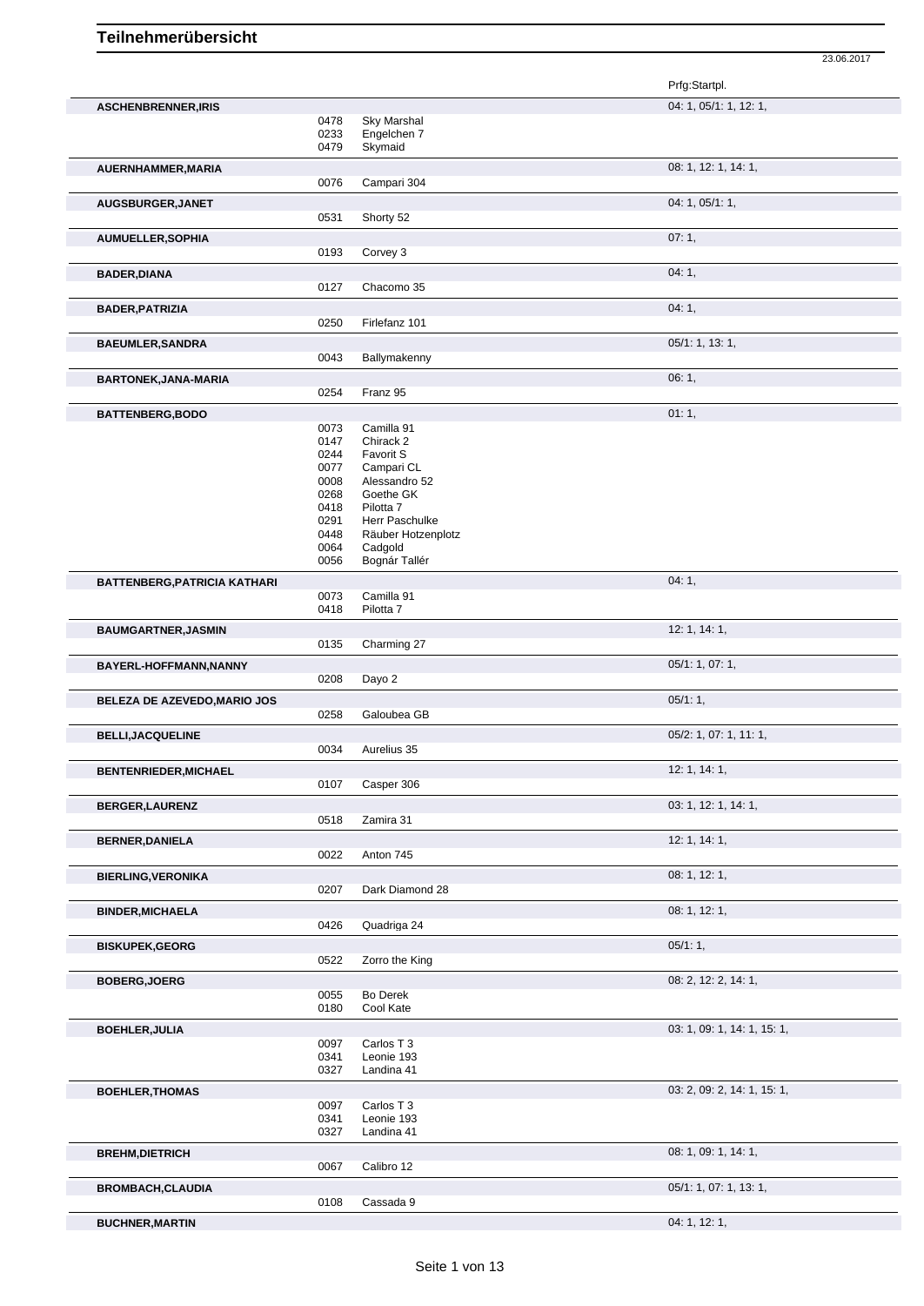23.06.2017 Prfg:Startpl. **ASCHENBRENNER,IRIS** 04: 1, 05/1: 1, 12: 1, 0478 Sky Marshal 0233 Engelchen 7<br>0479 Skymaid Skymaid **AUERNHAMMER, MARIA** 0076 Campari 304 08: 1, 12: 1, 14: 1, Campari 304 **AUGSBURGER, JANET** 0531 0531 0531 0531 0521 07: 06: 04: 1, 05/1: 1, Shorty 52 **AUMUELLER,SOPHIA** 07: 1, Corvey 3 **BADER,DIANA** 04: 1, 04: 1, 04: 1, 04: 1, 04: 1, 04: 1, 04: 1, 04: 1, 04: 1, 04: 1, 04: 1, 04: 1, 04: 1, 04: 1, 04: 1, 04: 1, 04: 1, 04: 1, 04: 1, 04: 1, 04: 1, 04: 1, 04: 1, 04: 1, 04: 1, 04: 1, 04: 1, 04: 1, 04: 04: 04: 0127 Chacomo 35 **BADER, PATRIZIA** 04: 1, 04: 1, 04: 1, 04: 1, 04: 1, 04: 1, 04: 1, 04: 1, 04: 1, 04: 1, 04: 1, 04: 1, 04: 1, 04: 1, 04: 1, 04: 1, 04: 1, 04: 1, 04: 1, 04: 1, 04: 1, 04: 1, 04: 1, 04: 1, 04: 1, 04: 1, 04: 1, 04: 1, 04: 1, 0 0250 Firlefanz 101 **BAEUMLER,SANDRA** 05/1: 1, 13: 1, 0043 Ballymakenny **BARTONEK,JANA-MARIA** 0254 Franz 95 **CONSUMING 108:1,** 06:1, Franz 95 **BATTENBERG,BODO** 01: 1, 0073 Camilla 91 Camilla 91 0147 Chirack 2 0244 Favorit S<br>0077 Campari 0077 Campari CL<br>0008 Alessandro Alessandro 52 0268 Goethe GK<br>0418 Pilotta 7 Pilotta 7 0291 Herr Paschulke 0448 Räuber Hotzenplotz<br>0064 Cadgold 0064 Cadgold<br>0056 Bognár T Bognár Tallér **BATTENBERG,PATRICIA KATHARI** 0073 Camilla 91 **11 11 12 13 14: 1,** 04: 1, 04: 1, 0073 Camilla 91 Pilotta 7 **BAUMGARTNER,JASMIN** 12: 1, 14: 1, Charming 27 **BAYERL-HOFFMANN,NANNY** 0208 Dayo 2 05/1: 1, 07: 1, 07: 1, 07: 1, Dayo 2 **BELEZA DE AZEVEDO, MARIO JOS** 0258 Galoubea GB 05/1: 1, 05/1: 1, 05/1: 1, 05/1: 1, 05/1: 1, 0258 Galoubea GB Galoubea GB **BELLI,JACQUELINE** 0034 Aurelius 35<br>
0034 Aurelius 35 Aurelius 35 **BENTENRIEDER, MICHAEL** 12: 1, 14: 1, 2: 1, 14: 1, 2: 1, 14: 1, 2: 1, 14: 1, 2: 1, 14: 1, 2: 1, 14: 1, 2: 1, 14: 1, 2: 1, 14: 1, 2: 1, 14: 1, 2: 1, 14: 1, 2: 1, 14: 1, 2: 1, 14: 1, 2: 1, 14: 1, 2: 1, 14: 1, 2: 1, 14: 1, 2: Casper 306 **BERGER,LAURENZ** 03: 1, 12: 1, 14: 1, 0518 Zamira 31 **BERNER,DANIELA** 12: 1, 14: 1, 0022 Anton 745 **BIERLING,VERONIKA** 08: 1, 12: 1, Dark Diamond 28 **BINDER,MICHAELA** 08: 1, 12: 1, Quadriga 24 **BISKUPEK,GEORG** 05/1: 1, 0522 7orro the King Zorro the King **BOBERG,JOERG** 08: 2, 14: 1, Bo Derek 0180 Cool Kate **BOEHLER,JULIA** 03: 1, 09: 1, 14: 1, 15: 1, 09: 1, 14: 1, 15: 1, 09: 1, 14: 1, 15: 1, 09: 1, 14: 1, 15: 1, 09: 1, 14: 1, 15: 1, 09: 1, 14: 1, 15: 1, 09: 1, 14: 1, 15: 1, 09: 1, 14: 1, 15: 1, 09: 1, 09: 1, 09: 1, 15: 1, 09: Carlos T 3

0341 Leonie 193<br>0327 Landina 41 Landina 41 **BOEHLER,THOMAS** 03: 2, 09: 2, 14: 1, 15: 1, 0097 Carlos T 3<br>0341 Leonie 193 0341 Leonie 193<br>0327 Landina 41 Landina 41 **BREHM, DIETRICH** 08: 1, 09: 1, 14: 1, Calibro 12 **BROMBACH, CLAUDIA** 0108 Cassada 9 0108 05/1: 1, 07: 1, 13: 1, Cassada 9 **BUCHNER, MARTIN** 04: 1, 12: 1,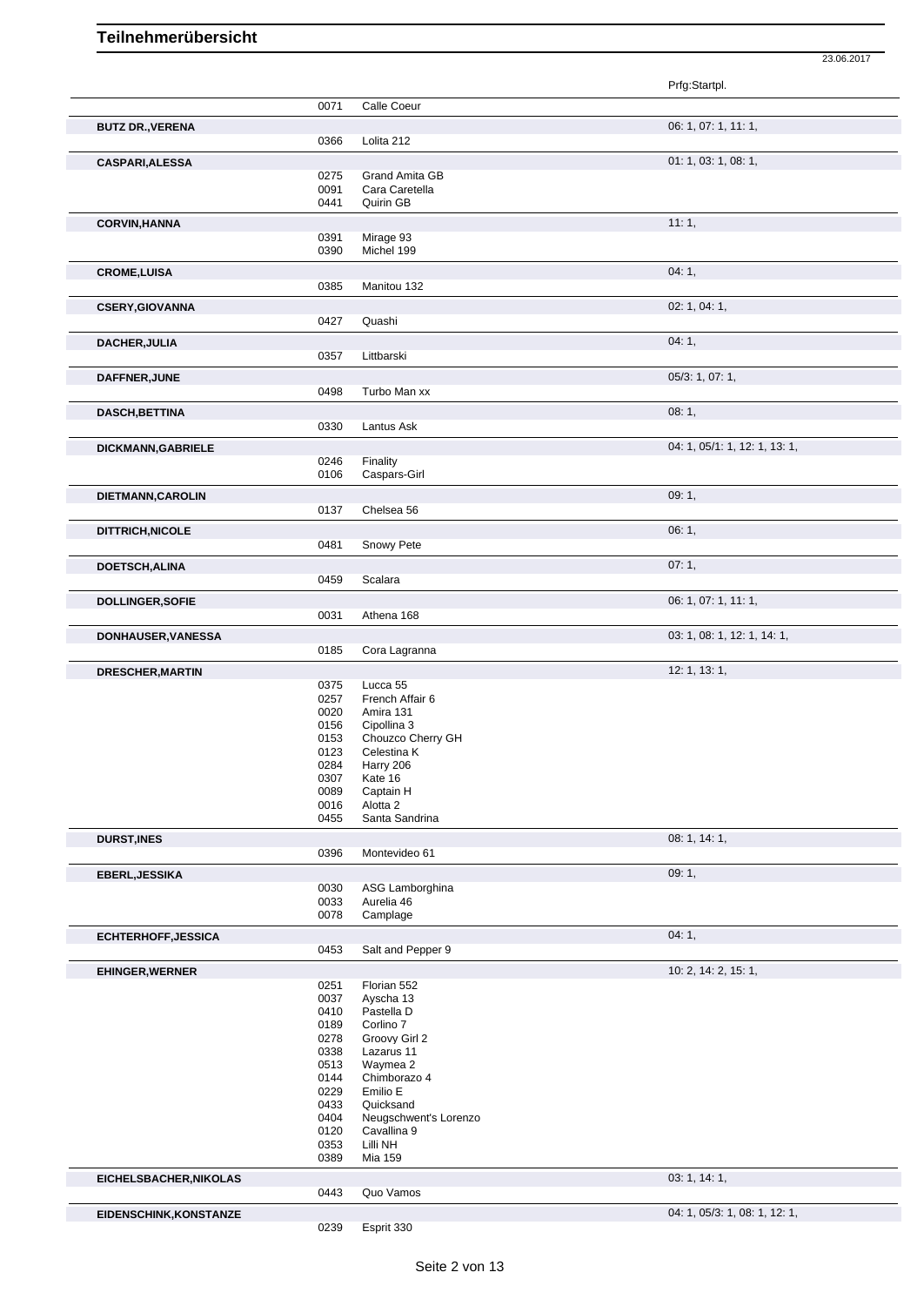|                            |              |                                         | 23.06.2017                    |
|----------------------------|--------------|-----------------------------------------|-------------------------------|
|                            |              |                                         | Prfg:Startpl.                 |
|                            | 0071         | Calle Coeur                             |                               |
| <b>BUTZ DR., VERENA</b>    |              |                                         | 06: 1, 07: 1, 11: 1,          |
|                            | 0366         | Lolita 212                              |                               |
| <b>CASPARI, ALESSA</b>     |              |                                         | 01: 1, 03: 1, 08: 1,          |
|                            | 0275<br>0091 | <b>Grand Amita GB</b><br>Cara Caretella |                               |
|                            | 0441         | Quirin GB                               |                               |
|                            |              |                                         | 11:1,                         |
| <b>CORVIN, HANNA</b>       | 0391         | Mirage 93                               |                               |
|                            | 0390         | Michel 199                              |                               |
|                            |              |                                         | 04:1,                         |
| <b>CROME, LUISA</b>        | 0385         | Manitou 132                             |                               |
|                            |              |                                         |                               |
| <b>CSERY, GIOVANNA</b>     | 0427         | Quashi                                  | 02: 1, 04: 1,                 |
|                            |              |                                         |                               |
| <b>DACHER, JULIA</b>       |              |                                         | 04:1,                         |
|                            | 0357         | Littbarski                              |                               |
| DAFFNER, JUNE              |              |                                         | 05/3: 1, 07: 1,               |
|                            | 0498         | Turbo Man xx                            |                               |
| <b>DASCH, BETTINA</b>      |              |                                         | 08:1,                         |
|                            | 0330         | Lantus Ask                              |                               |
| DICKMANN, GABRIELE         |              |                                         | 04: 1, 05/1: 1, 12: 1, 13: 1, |
|                            | 0246         | Finality                                |                               |
|                            | 0106         | Caspars-Girl                            |                               |
| DIETMANN, CAROLIN          |              |                                         | 09:1,                         |
|                            | 0137         | Chelsea 56                              |                               |
| DITTRICH, NICOLE           |              |                                         | 06:1,                         |
|                            | 0481         | Snowy Pete                              |                               |
|                            |              |                                         |                               |
| DOETSCH, ALINA             | 0459         | Scalara                                 | 07:1,                         |
|                            |              |                                         |                               |
| <b>DOLLINGER, SOFIE</b>    |              |                                         | 06: 1, 07: 1, 11: 1,          |
|                            | 0031         | Athena 168                              |                               |
| DONHAUSER, VANESSA         |              |                                         | 03: 1, 08: 1, 12: 1, 14: 1,   |
|                            | 0185         | Cora Lagranna                           |                               |
| <b>DRESCHER, MARTIN</b>    |              |                                         | 12: 1, 13: 1,                 |
|                            | 0375         | Lucca 55                                |                               |
|                            | 0257         | French Affair 6                         |                               |
|                            | 0020<br>0156 | Amira 131<br>Cipollina 3                |                               |
|                            | 0153         | Chouzco Cherry GH                       |                               |
|                            | 0123         | Celestina K                             |                               |
|                            | 0284         | Harry 206                               |                               |
|                            | 0307         | Kate 16                                 |                               |
|                            | 0089         | Captain H                               |                               |
|                            | 0016<br>0455 | Alotta <sub>2</sub><br>Santa Sandrina   |                               |
|                            |              |                                         |                               |
| <b>DURST, INES</b>         | 0396         | Montevideo 61                           | 08: 1, 14: 1,                 |
|                            |              |                                         |                               |
| EBERL, JESSIKA             |              |                                         | 09:1,                         |
|                            | 0030<br>0033 | ASG Lamborghina<br>Aurelia 46           |                               |
|                            | 0078         | Camplage                                |                               |
|                            |              |                                         | 04:1,                         |
| <b>ECHTERHOFF, JESSICA</b> | 0453         | Salt and Pepper 9                       |                               |
|                            |              |                                         |                               |
| <b>EHINGER, WERNER</b>     |              |                                         | 10: 2, 14: 2, 15: 1,          |
|                            | 0251<br>0037 | Florian 552<br>Ayscha 13                |                               |
|                            | 0410         | Pastella D                              |                               |
|                            | 0189         | Corlino 7                               |                               |
|                            | 0278         | Groovy Girl 2                           |                               |
|                            | 0338         | Lazarus 11                              |                               |
|                            | 0513<br>0144 | Waymea 2<br>Chimborazo 4                |                               |
|                            | 0229         | Emilio E                                |                               |
|                            | 0433         | Quicksand                               |                               |
|                            | 0404         | Neugschwent's Lorenzo                   |                               |
|                            | 0120         | Cavallina 9                             |                               |
|                            | 0353         | Lilli NH                                |                               |
|                            | 0389         | <b>Mia 159</b>                          |                               |
| EICHELSBACHER, NIKOLAS     |              |                                         | 03: 1, 14: 1,                 |
|                            | 0443         | Quo Vamos                               |                               |
| EIDENSCHINK, KONSTANZE     |              |                                         | 04: 1, 05/3: 1, 08: 1, 12: 1, |

Esprit 330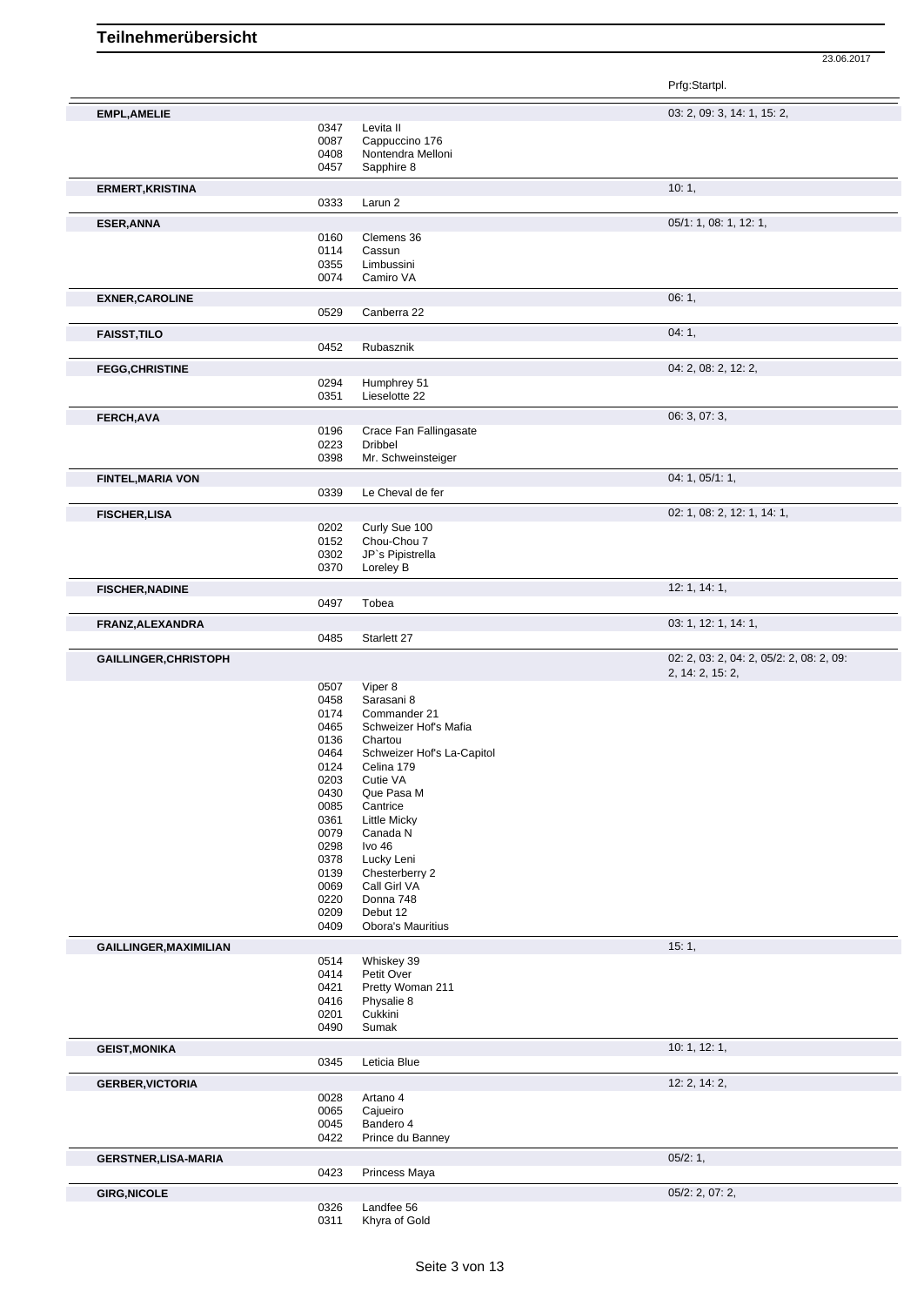23.06.2017

Prfg:Startpl.

| <b>EMPL, AMELIE</b>                                                            |              |                             | 03: 2, 09: 3, 14: 1, 15: 2,              |
|--------------------------------------------------------------------------------|--------------|-----------------------------|------------------------------------------|
|                                                                                | 0347         | Levita II                   |                                          |
|                                                                                | 0087         | Cappuccino 176              |                                          |
|                                                                                | 0408         | Nontendra Melloni           |                                          |
|                                                                                | 0457         | Sapphire 8                  |                                          |
|                                                                                |              |                             |                                          |
| <b>ERMERT, KRISTINA</b>                                                        |              |                             | 10:1,                                    |
|                                                                                | 0333         | Larun 2                     |                                          |
|                                                                                |              |                             |                                          |
| <b>ESER, ANNA</b>                                                              |              |                             | 05/1: 1, 08: 1, 12: 1,                   |
|                                                                                | 0160         | Clemens 36                  |                                          |
|                                                                                | 0114         | Cassun                      |                                          |
|                                                                                | 0355         | Limbussini                  |                                          |
|                                                                                | 0074         | Camiro VA                   |                                          |
|                                                                                |              |                             |                                          |
| <b>EXNER, CAROLINE</b>                                                         |              |                             | 06:1,                                    |
|                                                                                | 0529         | Canberra 22                 |                                          |
|                                                                                |              |                             | 04:1,                                    |
| <b>FAISST, TILO</b>                                                            |              |                             |                                          |
|                                                                                | 0452         | Rubasznik                   |                                          |
| <b>FEGG, CHRISTINE</b>                                                         |              |                             | 04: 2, 08: 2, 12: 2,                     |
|                                                                                | 0294         | Humphrey 51                 |                                          |
|                                                                                | 0351         | Lieselotte 22               |                                          |
|                                                                                |              |                             |                                          |
| FERCH, AVA                                                                     |              |                             | 06: 3, 07: 3,                            |
|                                                                                | 0196         | Crace Fan Fallingasate      |                                          |
|                                                                                | 0223         | <b>Dribbel</b>              |                                          |
|                                                                                | 0398         | Mr. Schweinsteiger          |                                          |
|                                                                                |              |                             |                                          |
| <b>FINTEL, MARIA VON</b>                                                       |              |                             | 04: 1, 05/1: 1,                          |
|                                                                                | 0339         | Le Cheval de fer            |                                          |
|                                                                                |              |                             |                                          |
| <b>FISCHER,LISA</b>                                                            |              |                             | 02: 1, 08: 2, 12: 1, 14: 1,              |
|                                                                                | 0202         | Curly Sue 100               |                                          |
|                                                                                | 0152         | Chou-Chou 7                 |                                          |
|                                                                                | 0302         | JP's Pipistrella            |                                          |
|                                                                                | 0370         | Loreley B                   |                                          |
|                                                                                |              |                             |                                          |
| <b>FISCHER, NADINE</b>                                                         |              |                             | 12: 1, 14: 1,                            |
|                                                                                | 0497         | Tobea                       |                                          |
| FRANZ, ALEXANDRA                                                               |              |                             | 03: 1, 12: 1, 14: 1,                     |
|                                                                                | 0485         | Starlett 27                 |                                          |
|                                                                                |              |                             |                                          |
| GAILLINGER, CHRISTOPH                                                          |              |                             | 02: 2, 03: 2, 04: 2, 05/2: 2, 08: 2, 09: |
|                                                                                |              |                             | 2, 14: 2, 15: 2,                         |
|                                                                                |              |                             |                                          |
|                                                                                |              |                             |                                          |
|                                                                                | 0507         | Viper 8                     |                                          |
|                                                                                | 0458         | Sarasani 8                  |                                          |
|                                                                                | 0174         | Commander 21                |                                          |
|                                                                                | 0465         | Schweizer Hof's Mafia       |                                          |
|                                                                                | 0136         | Chartou                     |                                          |
|                                                                                | 0464         | Schweizer Hof's La-Capitol  |                                          |
|                                                                                | 0124         | Celina 179                  |                                          |
|                                                                                | 0203         | Cutie VA                    |                                          |
|                                                                                | 0430         | Que Pasa M                  |                                          |
|                                                                                | 0085         | Cantrice                    |                                          |
|                                                                                | 0361         | <b>Little Micky</b>         |                                          |
|                                                                                | 0079         | Canada N                    |                                          |
|                                                                                | 0298         | Ivo 46                      |                                          |
|                                                                                |              |                             |                                          |
|                                                                                | 0378         | Lucky Leni                  |                                          |
|                                                                                | 0139         | Chesterberry 2              |                                          |
|                                                                                | 0069         | Call Girl VA                |                                          |
|                                                                                | 0220         | Donna 748                   |                                          |
|                                                                                | 0209         | Debut 12                    |                                          |
|                                                                                | 0409         | <b>Obora's Mauritius</b>    |                                          |
|                                                                                |              |                             | 15:1,                                    |
|                                                                                | 0514         |                             |                                          |
|                                                                                |              | Whiskey 39                  |                                          |
|                                                                                | 0414         | Petit Over                  |                                          |
|                                                                                | 0421         | Pretty Woman 211            |                                          |
|                                                                                | 0416         | Physalie 8                  |                                          |
| <b>GAILLINGER, MAXIMILIAN</b>                                                  | 0201         | Cukkini                     |                                          |
|                                                                                | 0490         | Sumak                       |                                          |
|                                                                                |              |                             | 10: 1, 12: 1,                            |
|                                                                                |              |                             |                                          |
|                                                                                | 0345         | Leticia Blue                |                                          |
|                                                                                |              |                             | 12: 2, 14: 2,                            |
|                                                                                | 0028         | Artano 4                    |                                          |
|                                                                                | 0065         | Cajueiro                    |                                          |
|                                                                                |              |                             |                                          |
|                                                                                | 0045         | Bandero 4                   |                                          |
|                                                                                | 0422         | Prince du Banney            |                                          |
|                                                                                |              |                             | 05/2:1,                                  |
| <b>GEIST, MONIKA</b><br><b>GERBER, VICTORIA</b><br><b>GERSTNER, LISA-MARIA</b> | 0423         | Princess Maya               |                                          |
|                                                                                |              |                             |                                          |
| <b>GIRG, NICOLE</b>                                                            |              |                             | $05/2$ : 2, 07: 2,                       |
|                                                                                | 0326<br>0311 | Landfee 56<br>Khyra of Gold |                                          |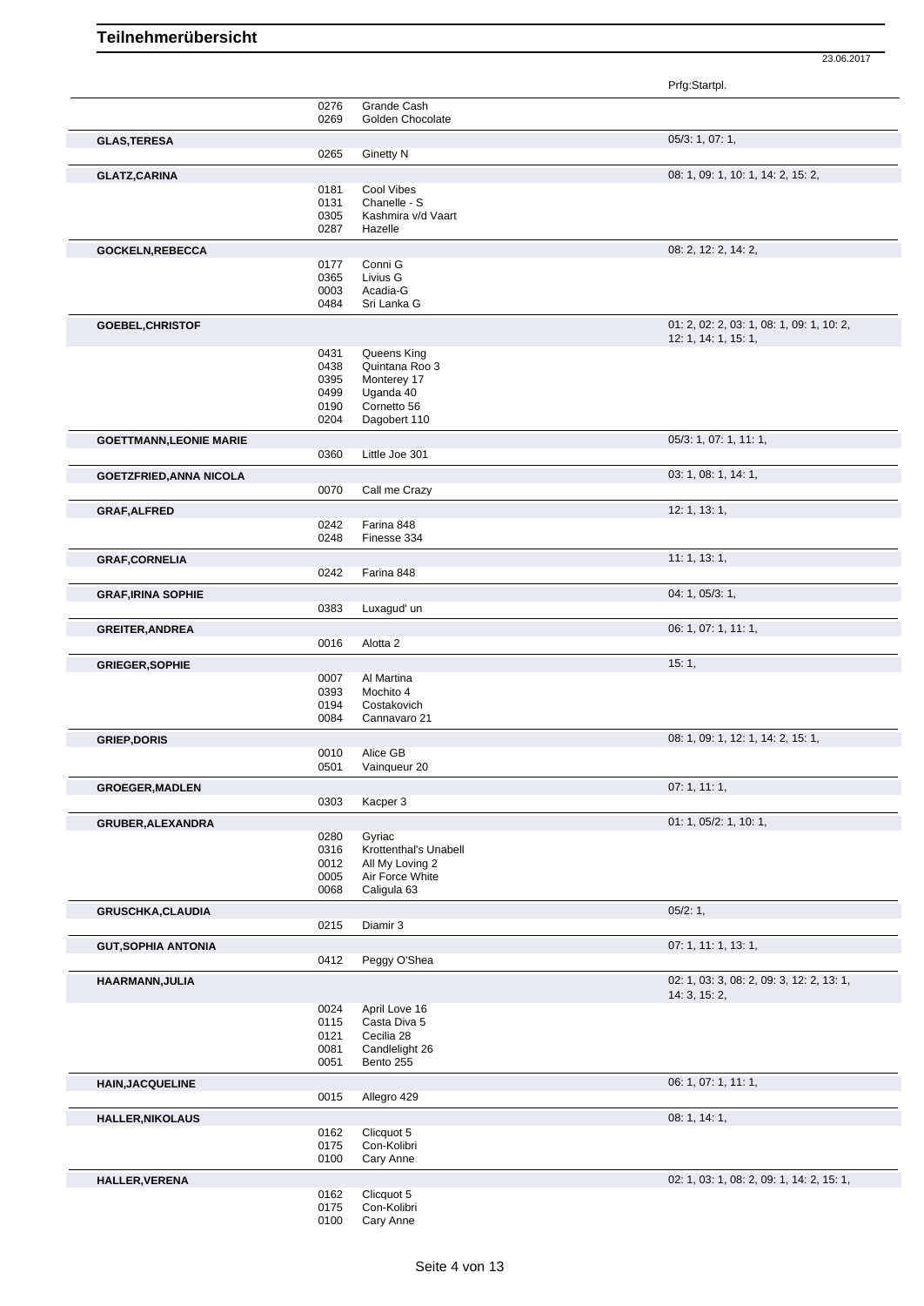|                                |              |                                          | Prfg:Startpl.                                                     |
|--------------------------------|--------------|------------------------------------------|-------------------------------------------------------------------|
|                                | 0276         | Grande Cash                              |                                                                   |
|                                | 0269         | Golden Chocolate                         |                                                                   |
| <b>GLAS, TERESA</b>            |              |                                          | 05/3: 1, 07: 1,                                                   |
|                                | 0265         | <b>Ginetty N</b>                         |                                                                   |
| <b>GLATZ, CARINA</b>           |              |                                          | 08: 1, 09: 1, 10: 1, 14: 2, 15: 2,                                |
|                                | 0181<br>0131 | <b>Cool Vibes</b><br>Chanelle - S        |                                                                   |
|                                | 0305         | Kashmira v/d Vaart                       |                                                                   |
|                                | 0287         | Hazelle                                  |                                                                   |
| <b>GOCKELN, REBECCA</b>        |              |                                          | 08: 2, 12: 2, 14: 2,                                              |
|                                | 0177         | Conni G                                  |                                                                   |
|                                | 0365         | Livius G                                 |                                                                   |
|                                | 0003<br>0484 | Acadia-G<br>Sri Lanka G                  |                                                                   |
|                                |              |                                          |                                                                   |
| GOEBEL, CHRISTOF               |              |                                          | 01: 2, 02: 2, 03: 1, 08: 1, 09: 1, 10: 2,<br>12: 1, 14: 1, 15: 1, |
|                                | 0431         | Queens King                              |                                                                   |
|                                | 0438         | Quintana Roo 3                           |                                                                   |
|                                | 0395         | Monterey 17                              |                                                                   |
|                                | 0499         | Uganda 40                                |                                                                   |
|                                | 0190<br>0204 | Cornetto 56<br>Dagobert 110              |                                                                   |
|                                |              |                                          | 05/3: 1, 07: 1, 11: 1,                                            |
| <b>GOETTMANN, LEONIE MARIE</b> | 0360         | Little Joe 301                           |                                                                   |
| <b>GOETZFRIED, ANNA NICOLA</b> |              |                                          | 03: 1, 08: 1, 14: 1,                                              |
|                                | 0070         | Call me Crazy                            |                                                                   |
| <b>GRAF, ALFRED</b>            |              |                                          | 12: 1, 13: 1,                                                     |
|                                | 0242         | Farina 848                               |                                                                   |
|                                | 0248         | Finesse 334                              |                                                                   |
| <b>GRAF, CORNELIA</b>          |              |                                          | 11: 1, 13: 1,                                                     |
|                                | 0242         | Farina 848                               |                                                                   |
| <b>GRAF, IRINA SOPHIE</b>      |              |                                          | 04: 1, 05/3: 1,                                                   |
|                                | 0383         | Luxagud' un                              |                                                                   |
| <b>GREITER, ANDREA</b>         |              |                                          | 06: 1, 07: 1, 11: 1,                                              |
|                                | 0016         | Alotta <sub>2</sub>                      |                                                                   |
| <b>GRIEGER, SOPHIE</b>         |              |                                          | 15:1,                                                             |
|                                | 0007<br>0393 | Al Martina<br>Mochito 4                  |                                                                   |
|                                | 0194         | Costakovich                              |                                                                   |
|                                | 0084         | Cannavaro 21                             |                                                                   |
| <b>GRIEP, DORIS</b>            |              |                                          | 08: 1, 09: 1, 12: 1, 14: 2, 15: 1,                                |
|                                | 0010         | Alice GB                                 |                                                                   |
|                                | 0501         | Vainqueur 20                             |                                                                   |
| <b>GROEGER, MADLEN</b>         |              |                                          | 07:1, 11:1,                                                       |
|                                | 0303         | Kacper 3                                 |                                                                   |
| <b>GRUBER, ALEXANDRA</b>       |              |                                          | 01: 1, 05/2: 1, 10: 1,                                            |
|                                | 0280         | Gyriac                                   |                                                                   |
|                                | 0316<br>0012 | Krottenthal's Unabell<br>All My Loving 2 |                                                                   |
|                                | 0005         | Air Force White                          |                                                                   |
|                                | 0068         | Caligula 63                              |                                                                   |
| <b>GRUSCHKA,CLAUDIA</b>        |              |                                          | 05/2:1,                                                           |
|                                | 0215         | Diamir 3                                 |                                                                   |
| <b>GUT, SOPHIA ANTONIA</b>     |              |                                          | 07: 1, 11: 1, 13: 1,                                              |
|                                | 0412         | Peggy O'Shea                             |                                                                   |
| HAARMANN, JULIA                |              |                                          | 02: 1, 03: 3, 08: 2, 09: 3, 12: 2, 13: 1,                         |
|                                |              |                                          | 14: 3, 15: 2,                                                     |
|                                | 0024<br>0115 | April Love 16<br>Casta Diva 5            |                                                                   |
|                                | 0121         | Cecilia 28                               |                                                                   |
|                                | 0081         | Candlelight 26                           |                                                                   |
|                                | 0051         | Bento 255                                |                                                                   |
| <b>HAIN, JACQUELINE</b>        |              |                                          | 06: 1, 07: 1, 11: 1,                                              |
|                                | 0015         | Allegro 429                              |                                                                   |
| <b>HALLER, NIKOLAUS</b>        |              |                                          | 08:1, 14:1,                                                       |
|                                | 0162         | Clicquot 5                               |                                                                   |
|                                | 0175<br>0100 | Con-Kolibri<br>Cary Anne                 |                                                                   |
|                                |              |                                          |                                                                   |
| HALLER, VERENA                 | 0162         | Clicquot 5                               | 02: 1, 03: 1, 08: 2, 09: 1, 14: 2, 15: 1,                         |
|                                | 0175         | Con-Kolibri                              |                                                                   |
|                                |              |                                          |                                                                   |

Cary Anne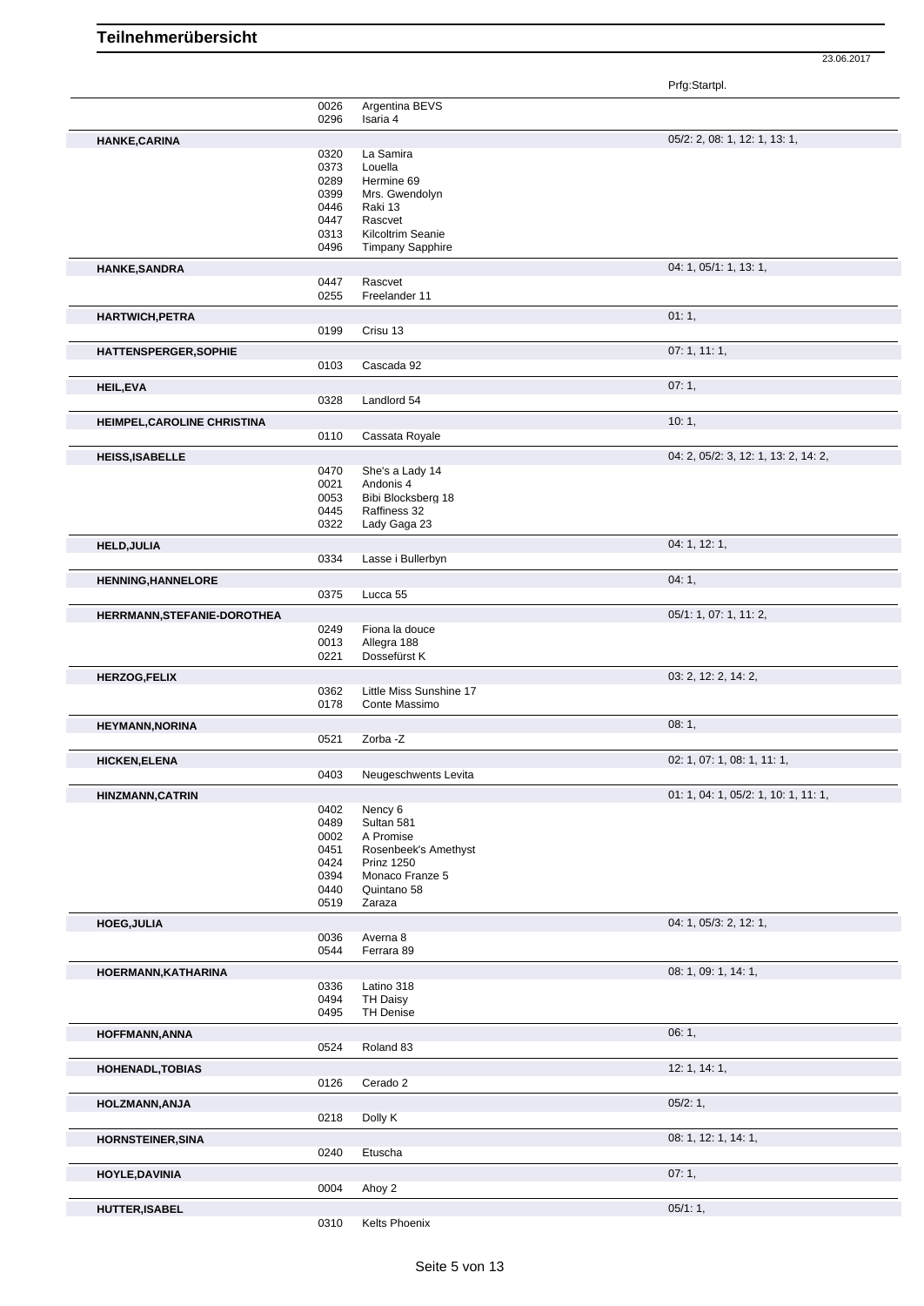Prfg:Startpl.

|                                                  | 0026<br>0296 | Argentina BEVS<br>Isaria 4  |                                      |
|--------------------------------------------------|--------------|-----------------------------|--------------------------------------|
|                                                  |              |                             |                                      |
| HANKE, CARINA                                    |              |                             | 05/2: 2, 08: 1, 12: 1, 13: 1,        |
|                                                  | 0320         | La Samira                   |                                      |
|                                                  | 0373         | Louella                     |                                      |
|                                                  | 0289         | Hermine 69                  |                                      |
|                                                  | 0399         | Mrs. Gwendolyn              |                                      |
|                                                  | 0446         | Raki 13                     |                                      |
|                                                  | 0447         | Rascvet                     |                                      |
|                                                  | 0313         | Kilcoltrim Seanie           |                                      |
|                                                  | 0496         | <b>Timpany Sapphire</b>     |                                      |
|                                                  |              |                             |                                      |
| <b>HANKE, SANDRA</b>                             |              |                             | 04: 1, 05/1: 1, 13: 1,               |
|                                                  | 0447<br>0255 | Rascvet                     |                                      |
|                                                  |              | Freelander 11               |                                      |
| <b>HARTWICH, PETRA</b>                           |              |                             | 01:1,                                |
|                                                  | 0199         | Crisu 13                    |                                      |
|                                                  |              |                             | 07:1, 11:1,                          |
| <b>HATTENSPERGER, SOPHIE</b>                     | 0103         | Cascada 92                  |                                      |
|                                                  |              |                             |                                      |
| <b>HEIL, EVA</b>                                 |              |                             | 07:1,                                |
|                                                  | 0328         | Landlord 54                 |                                      |
|                                                  |              |                             | 10:1,                                |
| HEIMPEL, CAROLINE CHRISTINA                      |              | Cassata Royale              |                                      |
|                                                  | 0110         |                             |                                      |
| <b>HEISS, ISABELLE</b>                           |              |                             | 04: 2, 05/2: 3, 12: 1, 13: 2, 14: 2, |
|                                                  | 0470         | She's a Lady 14             |                                      |
|                                                  | 0021         | Andonis 4                   |                                      |
|                                                  | 0053         | Bibi Blocksberg 18          |                                      |
|                                                  | 0445         | Raffiness 32                |                                      |
|                                                  | 0322         | Lady Gaga 23                |                                      |
|                                                  |              |                             | 04: 1, 12: 1,                        |
| <b>HELD, JULIA</b>                               |              |                             |                                      |
|                                                  | 0334         | Lasse i Bullerbyn           |                                      |
| <b>HENNING, HANNELORE</b>                        |              |                             | 04:1,                                |
|                                                  | 0375         | Lucca 55                    |                                      |
|                                                  |              |                             |                                      |
| HERRMANN, STEFANIE-DOROTHEA                      |              |                             | 05/1: 1, 07: 1, 11: 2,               |
|                                                  | 0249         | Fiona la douce              |                                      |
|                                                  | 0013         | Allegra 188<br>Dossefürst K |                                      |
|                                                  | 0221         |                             |                                      |
| <b>HERZOG,FELIX</b>                              |              |                             | 03: 2, 12: 2, 14: 2,                 |
|                                                  | 0362         | Little Miss Sunshine 17     |                                      |
|                                                  |              | Conte Massimo               |                                      |
|                                                  | 0178         |                             |                                      |
|                                                  |              |                             |                                      |
|                                                  |              |                             | 08:1,                                |
| <b>HEYMANN, NORINA</b>                           | 0521         | Zorba -Z                    |                                      |
| <b>HICKEN, ELENA</b>                             |              |                             | 02: 1, 07: 1, 08: 1, 11: 1,          |
|                                                  | 0403         | Neugeschwents Levita        |                                      |
|                                                  |              |                             |                                      |
|                                                  |              |                             | 01: 1, 04: 1, 05/2: 1, 10: 1, 11: 1, |
|                                                  | 0402         | Nency 6                     |                                      |
| <b>HINZMANN, CATRIN</b>                          | 0489         | Sultan 581                  |                                      |
|                                                  | 0002         | A Promise                   |                                      |
|                                                  | 0451         | Rosenbeek's Amethyst        |                                      |
|                                                  | 0424         | <b>Prinz 1250</b>           |                                      |
|                                                  | 0394         | Monaco Franze 5             |                                      |
|                                                  | 0440         | Quintano 58                 |                                      |
|                                                  | 0519         | Zaraza                      |                                      |
| <b>HOEG, JULIA</b>                               |              |                             | 04: 1, 05/3: 2, 12: 1,               |
|                                                  | 0036         | Averna 8                    |                                      |
|                                                  | 0544         | Ferrara 89                  |                                      |
|                                                  |              |                             |                                      |
| HOERMANN, KATHARINA                              |              |                             | 08: 1, 09: 1, 14: 1,                 |
|                                                  | 0336         | Latino 318                  |                                      |
|                                                  | 0494         | TH Daisy                    |                                      |
|                                                  | 0495         | <b>TH Denise</b>            |                                      |
| <b>HOFFMANN, ANNA</b>                            |              |                             | 06:1,                                |
|                                                  | 0524         | Roland 83                   |                                      |
|                                                  |              |                             |                                      |
|                                                  |              |                             | 12: 1, 14: 1,                        |
|                                                  | 0126         | Cerado 2                    |                                      |
|                                                  |              |                             | 05/2:1,                              |
|                                                  | 0218         | Dolly K                     |                                      |
| <b>HOHENADL, TOBIAS</b><br><b>HOLZMANN, ANJA</b> |              |                             |                                      |
|                                                  |              |                             | 08: 1, 12: 1, 14: 1,                 |
| <b>HORNSTEINER, SINA</b>                         | 0240         | Etuscha                     |                                      |
|                                                  |              |                             |                                      |
| HOYLE, DAVINIA                                   |              |                             | 07:1,                                |
|                                                  | 0004         | Ahoy 2                      |                                      |
| <b>HUTTER, ISABEL</b>                            | 0310         | Kelts Phoenix               | 05/1:1,                              |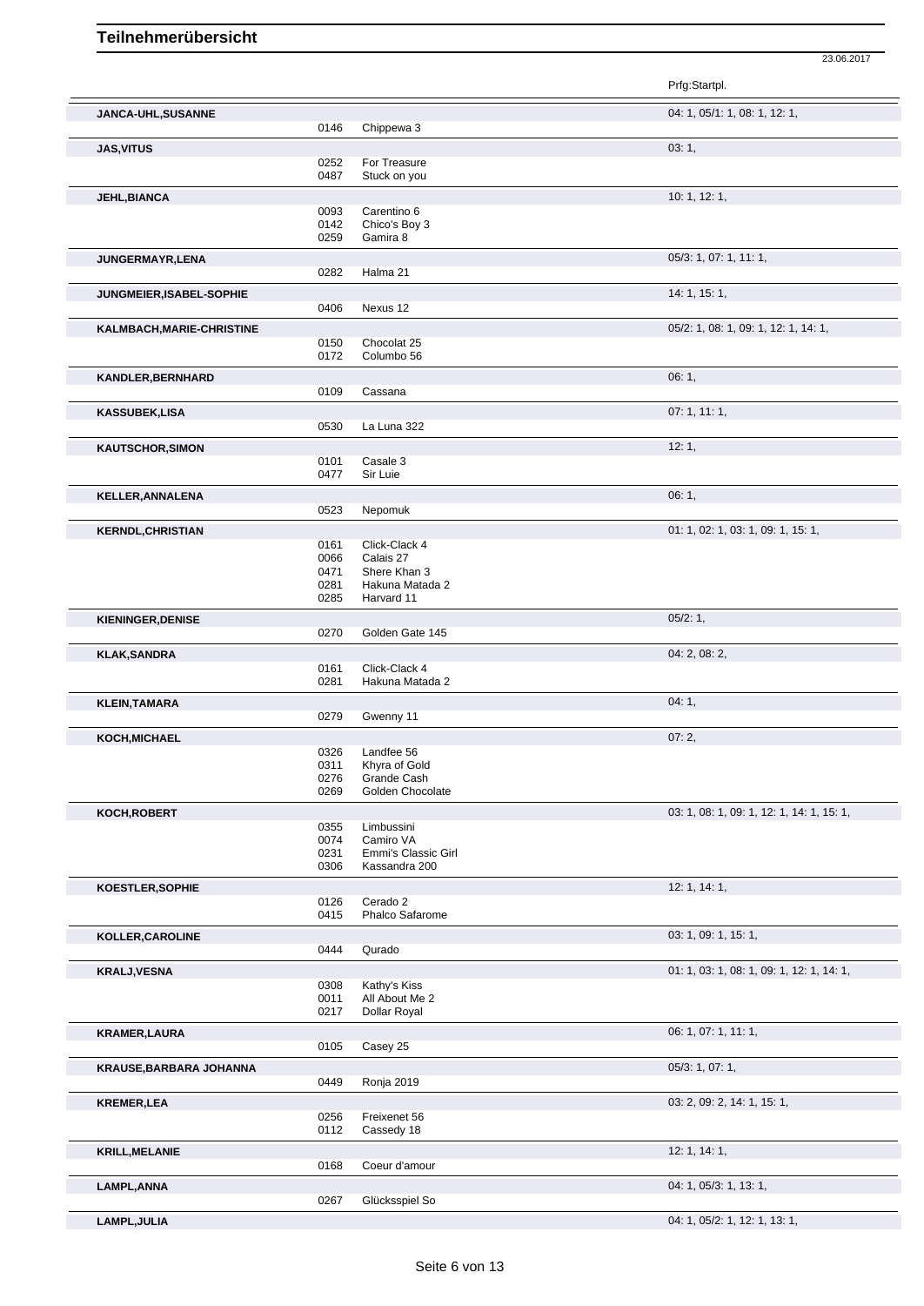|      |                                                                                                                                                                                                                              | Prfg:Startpl.                                                                                                                                                                                                                                                                                                                                                                                  |
|------|------------------------------------------------------------------------------------------------------------------------------------------------------------------------------------------------------------------------------|------------------------------------------------------------------------------------------------------------------------------------------------------------------------------------------------------------------------------------------------------------------------------------------------------------------------------------------------------------------------------------------------|
|      |                                                                                                                                                                                                                              | 04: 1, 05/1: 1, 08: 1, 12: 1,                                                                                                                                                                                                                                                                                                                                                                  |
| 0146 | Chippewa 3                                                                                                                                                                                                                   |                                                                                                                                                                                                                                                                                                                                                                                                |
|      |                                                                                                                                                                                                                              | 03:1,                                                                                                                                                                                                                                                                                                                                                                                          |
| 0252 | For Treasure                                                                                                                                                                                                                 |                                                                                                                                                                                                                                                                                                                                                                                                |
|      |                                                                                                                                                                                                                              |                                                                                                                                                                                                                                                                                                                                                                                                |
|      |                                                                                                                                                                                                                              | 10: 1, 12: 1,                                                                                                                                                                                                                                                                                                                                                                                  |
| 0093 | Carentino 6                                                                                                                                                                                                                  |                                                                                                                                                                                                                                                                                                                                                                                                |
|      |                                                                                                                                                                                                                              |                                                                                                                                                                                                                                                                                                                                                                                                |
|      |                                                                                                                                                                                                                              |                                                                                                                                                                                                                                                                                                                                                                                                |
|      |                                                                                                                                                                                                                              | 05/3: 1, 07: 1, 11: 1,                                                                                                                                                                                                                                                                                                                                                                         |
|      |                                                                                                                                                                                                                              |                                                                                                                                                                                                                                                                                                                                                                                                |
|      |                                                                                                                                                                                                                              | 14: 1, 15: 1,                                                                                                                                                                                                                                                                                                                                                                                  |
| 0406 | Nexus 12                                                                                                                                                                                                                     |                                                                                                                                                                                                                                                                                                                                                                                                |
|      |                                                                                                                                                                                                                              | 05/2: 1, 08: 1, 09: 1, 12: 1, 14: 1,                                                                                                                                                                                                                                                                                                                                                           |
|      | Chocolat 25                                                                                                                                                                                                                  |                                                                                                                                                                                                                                                                                                                                                                                                |
| 0172 | Columbo 56                                                                                                                                                                                                                   |                                                                                                                                                                                                                                                                                                                                                                                                |
|      |                                                                                                                                                                                                                              | 06:1,                                                                                                                                                                                                                                                                                                                                                                                          |
|      | Cassana                                                                                                                                                                                                                      |                                                                                                                                                                                                                                                                                                                                                                                                |
|      |                                                                                                                                                                                                                              |                                                                                                                                                                                                                                                                                                                                                                                                |
|      |                                                                                                                                                                                                                              | 07:1, 11:1,                                                                                                                                                                                                                                                                                                                                                                                    |
|      |                                                                                                                                                                                                                              |                                                                                                                                                                                                                                                                                                                                                                                                |
|      |                                                                                                                                                                                                                              | 12:1,                                                                                                                                                                                                                                                                                                                                                                                          |
|      |                                                                                                                                                                                                                              |                                                                                                                                                                                                                                                                                                                                                                                                |
|      |                                                                                                                                                                                                                              |                                                                                                                                                                                                                                                                                                                                                                                                |
|      |                                                                                                                                                                                                                              | 06:1,                                                                                                                                                                                                                                                                                                                                                                                          |
|      |                                                                                                                                                                                                                              |                                                                                                                                                                                                                                                                                                                                                                                                |
|      |                                                                                                                                                                                                                              | 01: 1, 02: 1, 03: 1, 09: 1, 15: 1,                                                                                                                                                                                                                                                                                                                                                             |
| 0161 | Click-Clack 4                                                                                                                                                                                                                |                                                                                                                                                                                                                                                                                                                                                                                                |
|      |                                                                                                                                                                                                                              |                                                                                                                                                                                                                                                                                                                                                                                                |
|      |                                                                                                                                                                                                                              |                                                                                                                                                                                                                                                                                                                                                                                                |
|      |                                                                                                                                                                                                                              |                                                                                                                                                                                                                                                                                                                                                                                                |
|      |                                                                                                                                                                                                                              |                                                                                                                                                                                                                                                                                                                                                                                                |
|      |                                                                                                                                                                                                                              | 05/2:1,                                                                                                                                                                                                                                                                                                                                                                                        |
|      |                                                                                                                                                                                                                              |                                                                                                                                                                                                                                                                                                                                                                                                |
|      |                                                                                                                                                                                                                              | 04: 2, 08: 2,                                                                                                                                                                                                                                                                                                                                                                                  |
|      |                                                                                                                                                                                                                              |                                                                                                                                                                                                                                                                                                                                                                                                |
|      |                                                                                                                                                                                                                              |                                                                                                                                                                                                                                                                                                                                                                                                |
|      |                                                                                                                                                                                                                              | 04:1,                                                                                                                                                                                                                                                                                                                                                                                          |
|      |                                                                                                                                                                                                                              |                                                                                                                                                                                                                                                                                                                                                                                                |
|      |                                                                                                                                                                                                                              | 07:2,                                                                                                                                                                                                                                                                                                                                                                                          |
| 0326 | Landfee 56                                                                                                                                                                                                                   |                                                                                                                                                                                                                                                                                                                                                                                                |
| 0311 | Khyra of Gold                                                                                                                                                                                                                |                                                                                                                                                                                                                                                                                                                                                                                                |
|      |                                                                                                                                                                                                                              |                                                                                                                                                                                                                                                                                                                                                                                                |
|      |                                                                                                                                                                                                                              |                                                                                                                                                                                                                                                                                                                                                                                                |
|      |                                                                                                                                                                                                                              | 03: 1, 08: 1, 09: 1, 12: 1, 14: 1, 15: 1,                                                                                                                                                                                                                                                                                                                                                      |
|      | Limbussini                                                                                                                                                                                                                   |                                                                                                                                                                                                                                                                                                                                                                                                |
|      |                                                                                                                                                                                                                              |                                                                                                                                                                                                                                                                                                                                                                                                |
|      |                                                                                                                                                                                                                              |                                                                                                                                                                                                                                                                                                                                                                                                |
|      |                                                                                                                                                                                                                              |                                                                                                                                                                                                                                                                                                                                                                                                |
|      |                                                                                                                                                                                                                              | 12: 1, 14: 1,                                                                                                                                                                                                                                                                                                                                                                                  |
|      |                                                                                                                                                                                                                              |                                                                                                                                                                                                                                                                                                                                                                                                |
|      |                                                                                                                                                                                                                              |                                                                                                                                                                                                                                                                                                                                                                                                |
|      |                                                                                                                                                                                                                              | 03: 1, 09: 1, 15: 1,                                                                                                                                                                                                                                                                                                                                                                           |
| 0444 | Qurado                                                                                                                                                                                                                       |                                                                                                                                                                                                                                                                                                                                                                                                |
|      |                                                                                                                                                                                                                              | 01: 1, 03: 1, 08: 1, 09: 1, 12: 1, 14: 1,                                                                                                                                                                                                                                                                                                                                                      |
| 0308 | Kathy's Kiss                                                                                                                                                                                                                 |                                                                                                                                                                                                                                                                                                                                                                                                |
| 0011 | All About Me 2                                                                                                                                                                                                               |                                                                                                                                                                                                                                                                                                                                                                                                |
|      |                                                                                                                                                                                                                              |                                                                                                                                                                                                                                                                                                                                                                                                |
|      |                                                                                                                                                                                                                              | 06: 1, 07: 1, 11: 1,                                                                                                                                                                                                                                                                                                                                                                           |
| 0105 | Casey 25                                                                                                                                                                                                                     |                                                                                                                                                                                                                                                                                                                                                                                                |
|      |                                                                                                                                                                                                                              | 05/3: 1, 07: 1,                                                                                                                                                                                                                                                                                                                                                                                |
|      |                                                                                                                                                                                                                              |                                                                                                                                                                                                                                                                                                                                                                                                |
|      |                                                                                                                                                                                                                              |                                                                                                                                                                                                                                                                                                                                                                                                |
|      |                                                                                                                                                                                                                              | 03: 2, 09: 2, 14: 1, 15: 1,                                                                                                                                                                                                                                                                                                                                                                    |
|      |                                                                                                                                                                                                                              |                                                                                                                                                                                                                                                                                                                                                                                                |
| 0256 | Freixenet 56                                                                                                                                                                                                                 |                                                                                                                                                                                                                                                                                                                                                                                                |
| 0112 | Cassedy 18                                                                                                                                                                                                                   |                                                                                                                                                                                                                                                                                                                                                                                                |
|      |                                                                                                                                                                                                                              | 12: 1, 14: 1,                                                                                                                                                                                                                                                                                                                                                                                  |
| 0168 | Coeur d'amour                                                                                                                                                                                                                |                                                                                                                                                                                                                                                                                                                                                                                                |
|      |                                                                                                                                                                                                                              | 04: 1, 05/3: 1, 13: 1,                                                                                                                                                                                                                                                                                                                                                                         |
| 0267 | Glücksspiel So                                                                                                                                                                                                               |                                                                                                                                                                                                                                                                                                                                                                                                |
|      | 0487<br>0142<br>0259<br>0282<br>0150<br>0109<br>0530<br>0101<br>0477<br>0523<br>0066<br>0471<br>0281<br>0285<br>0270<br>0161<br>0281<br>0279<br>0276<br>0269<br>0355<br>0074<br>0231<br>0306<br>0126<br>0415<br>0217<br>0449 | Stuck on you<br>Chico's Boy 3<br>Gamira 8<br>Halma 21<br>La Luna 322<br>Casale 3<br>Sir Luie<br>Nepomuk<br>Calais 27<br>Shere Khan 3<br>Hakuna Matada 2<br>Harvard 11<br>Golden Gate 145<br>Click-Clack 4<br>Hakuna Matada 2<br>Gwenny 11<br>Grande Cash<br>Golden Chocolate<br>Camiro VA<br>Emmi's Classic Girl<br>Kassandra 200<br>Cerado 2<br>Phalco Safarome<br>Dollar Royal<br>Ronja 2019 |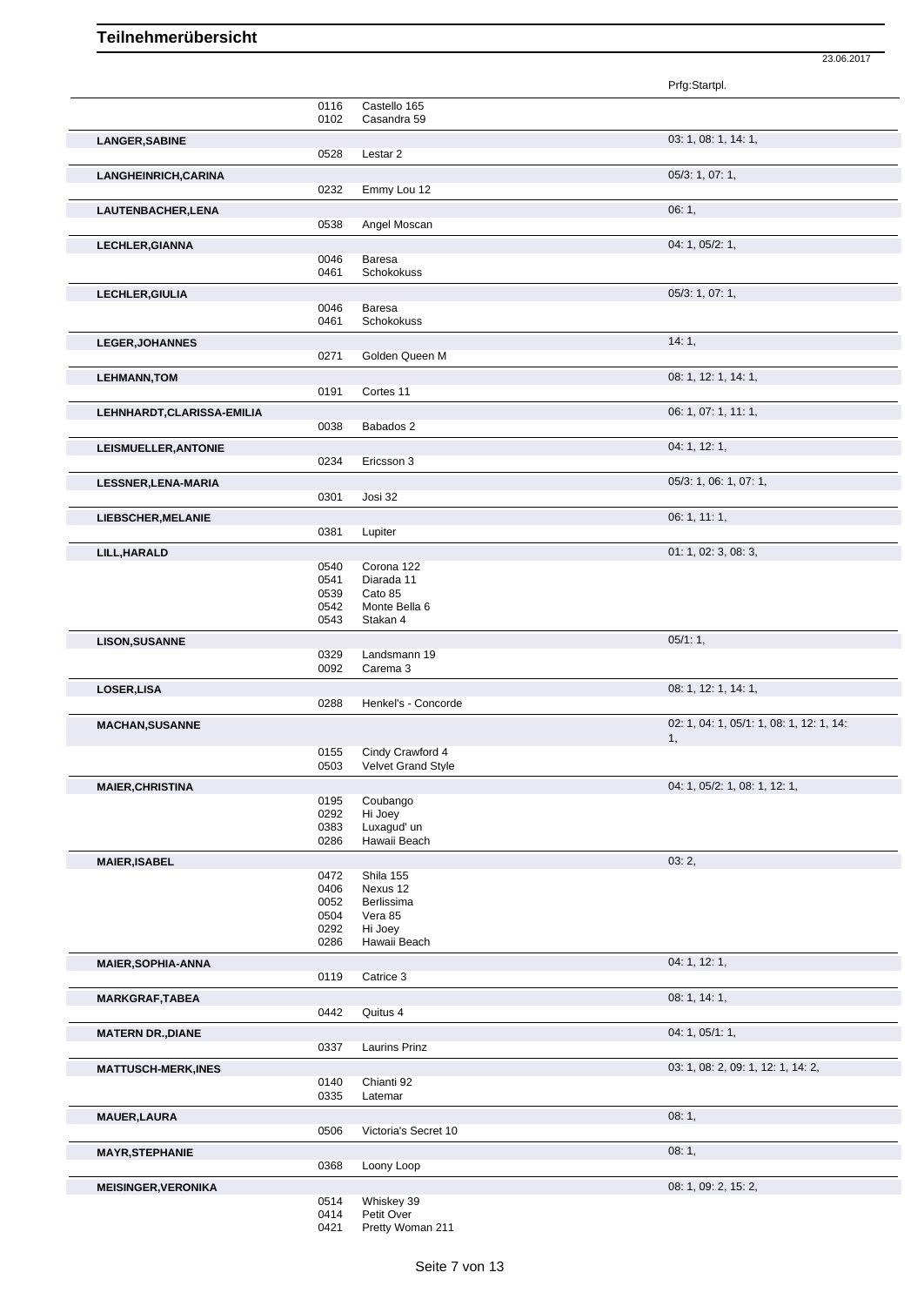|                            |               |                             | Prfg:Startpl.                            |
|----------------------------|---------------|-----------------------------|------------------------------------------|
|                            | 0116          | Castello 165                |                                          |
|                            | 0102          | Casandra 59                 |                                          |
| <b>LANGER, SABINE</b>      | 0528          | Lestar <sub>2</sub>         | 03: 1, 08: 1, 14: 1,                     |
| LANGHEINRICH, CARINA       |               |                             | 05/3: 1, 07: 1,                          |
|                            | 0232          | Emmy Lou 12                 |                                          |
| LAUTENBACHER, LENA         |               |                             | 06:1,                                    |
|                            | 0538          | Angel Moscan                |                                          |
| <b>LECHLER, GIANNA</b>     |               |                             | 04: 1, 05/2: 1,                          |
|                            | 0046<br>0461  | Baresa<br><b>Schokokuss</b> |                                          |
| LECHLER, GIULIA            |               |                             | 05/3: 1, 07: 1,                          |
|                            | 0046          | Baresa                      |                                          |
|                            | 0461          | <b>Schokokuss</b>           |                                          |
| <b>LEGER, JOHANNES</b>     |               |                             | 14:1,                                    |
|                            | 0271          | Golden Queen M              |                                          |
| <b>LEHMANN, TOM</b>        |               |                             | 08: 1, 12: 1, 14: 1,                     |
|                            | 0191          | Cortes 11                   |                                          |
| LEHNHARDT, CLARISSA-EMILIA | 0038          | Babados 2                   | 06: 1, 07: 1, 11: 1,                     |
|                            |               |                             |                                          |
| LEISMUELLER, ANTONIE       | 0234          | Ericsson 3                  | 04: 1, 12: 1,                            |
|                            |               |                             | 05/3: 1, 06: 1, 07: 1,                   |
| LESSNER, LENA-MARIA        | 0301          | Josi 32                     |                                          |
| <b>LIEBSCHER, MELANIE</b>  |               |                             | 06: 1, 11: 1,                            |
|                            | 0381          | Lupiter                     |                                          |
| LILL, HARALD               |               |                             | 01: 1, 02: 3, 08: 3,                     |
|                            | 0540          | Corona 122                  |                                          |
|                            | 0541<br>0539  | Diarada 11<br>Cato 85       |                                          |
|                            | 0542          | Monte Bella 6               |                                          |
|                            | 0543          | Stakan 4                    |                                          |
| <b>LISON, SUSANNE</b>      |               |                             | 05/1:1,                                  |
|                            | 0329          | Landsmann 19                |                                          |
|                            | 0092          | Carema 3                    |                                          |
| LOSER, LISA                | 0288          | Henkel's - Concorde         | 08: 1, 12: 1, 14: 1,                     |
|                            |               |                             | 02: 1, 04: 1, 05/1: 1, 08: 1, 12: 1, 14: |
| <b>MACHAN, SUSANNE</b>     |               |                             | 1,                                       |
|                            | 0155          | Cindy Crawford 4            |                                          |
|                            | 0503          | <b>Velvet Grand Style</b>   |                                          |
| <b>MAIER, CHRISTINA</b>    | 0195          | Coubango                    | 04: 1, 05/2: 1, 08: 1, 12: 1,            |
|                            | 0292          | Hi Joey                     |                                          |
|                            | 0383          | Luxagud' un                 |                                          |
|                            | 0286          | Hawaii Beach                |                                          |
| <b>MAIER, ISABEL</b>       | 0472          | Shila 155                   | 03:2,                                    |
|                            | 0406          | Nexus 12                    |                                          |
|                            | 0052          | Berlissima                  |                                          |
|                            | 0504<br>0292  | Vera 85<br>Hi Joey          |                                          |
|                            | 0286          | Hawaii Beach                |                                          |
| <b>MAIER, SOPHIA-ANNA</b>  |               |                             | 04: 1, 12: 1,                            |
|                            | 0119          | Catrice 3                   |                                          |
| <b>MARKGRAF, TABEA</b>     |               |                             | 08: 1, 14: 1,                            |
|                            | 0442          | Quitus 4                    |                                          |
| <b>MATERN DR., DIANE</b>   |               |                             | 04: 1, 05/1: 1,                          |
|                            | 0337          | Laurins Prinz               |                                          |
| <b>MATTUSCH-MERK,INES</b>  |               |                             | 03: 1, 08: 2, 09: 1, 12: 1, 14: 2,       |
|                            | 0140<br>0335  | Chianti 92<br>Latemar       |                                          |
| <b>MAUER, LAURA</b>        |               |                             | 08:1,                                    |
|                            | 0506          | Victoria's Secret 10        |                                          |
| <b>MAYR, STEPHANIE</b>     |               |                             | 08:1,                                    |
|                            | 0368          | Loony Loop                  |                                          |
| <b>MEISINGER, VERONIKA</b> |               |                             | 08: 1, 09: 2, 15: 2,                     |
|                            | 0514<br>0.41A | Whiskey 39<br>$Dof$ it Ovor |                                          |
|                            |               |                             |                                          |

23.06.2017

Petit Over

Pretty Woman 211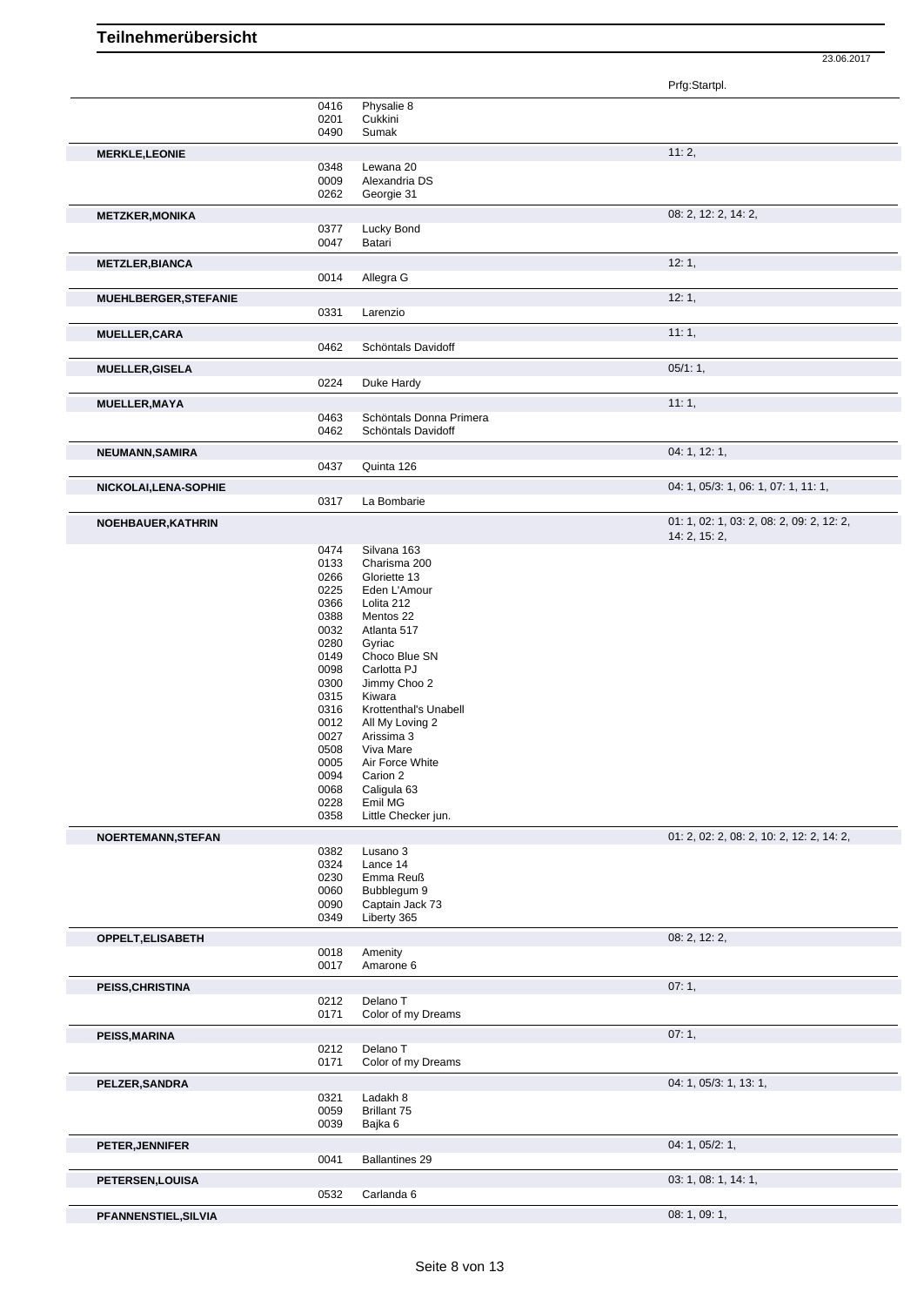Prfg:Startpl. 0416 Physalie 8 0201 Cukkini<br>0490 Sumak Sumak **MERKLE,LEONIE** 11: 2, 0348 Lewana 20<br>0009 Alexandria 0009 Alexandria DS<br>0262 Georgie 31 Georgie 31 **METZKER, MONIKA** 08: 2, 14: 2, 0377 Lucky Bond 08: 2, 12: 2, 14: 2, 08: 2, 12: 2, 14: 2, 0377 Lucky Bond<br>0047 Batari **Batari METZLER,BIANCA** 12: 1, 0014 Allegra G **MUEHLBERGER,STEFANIE** 0331 Larenzio 20031 12: 1, Larenzio **MUELLER, CARA** 11: 1, 2006) **12: 1, 2006 12: 1, 2006 14: 1, 2006 14: 1, 2006 14: 1, 2006 14: 1, 2006 14: 1, 2006 14: 1, 2006 14: 1, 2006 14: 1, 2006 14: 1, 2006 14: 1, 2006 14: 1, 2006 14: 1, 200** Schöntals Davidoff **MUELLER, GISELA** 05/1: 1,<br>0224 Duke Hardy Duke Hardy **MUELLER,MAYA** 11: 1, 0463 Schöntals Donna Primera<br>0462 Schöntals Davidoff Schöntals Davidoff **NEUMANN,SAMIRA** 04: 1, 12: 1, 04: 1, 12: 1, 04: 1, 12: 1, 04: 1, 12: 1, 04: 1, 12: 1, 04: 1, 12: 1, 04: 1, 12: 1, Quinta 126 **NICKOLAI,LENA-SOPHIE** 0317 La Bombarie 0317 La Bombarie 04: 1, 05/3: 1, 06: 1, 07: 1, 11: 1, La Bombarie **NOEHBAUER,KATHRIN** 01: 1, 02: 1, 03: 2, 08: 2, 09: 2, 12: 2, 14: 2, 15: 2, 0474 Silvana 163<br>0133 Charisma 20 Charisma 200 0266 Gloriette 13 0225 Eden L'Amour 0366 Lolita 212 0388 Mentos 22<br>0032 Atlanta 517 0032 Atlanta 517<br>0280 Gyriac Gyriac 0149 Choco Blue SN<br>0098 Carlotta PJ 0098 Carlotta PJ<br>0300 Jimmy Choo 0300 Jimmy Choo 2<br>0315 Kiwara 0315 Kiwara<br>0316 Krotten 0316 Krottenthal's Unabell<br>0012 All My Loving 2 0012 All My Loving 2<br>0027 Arissima 3 0027 Arissima 3<br>0508 Viva Mare 0508 Viva Mare<br>0005 Air Force \ 0005 Air Force White<br>0094 Carion 2 0094 Carion 2<br>0068 Caliquia 0068 Caligula 63<br>0228 Emil MG 0228 Emil MG<br>0358 Little Che Little Checker jun. **NOERTEMANN,STEFAN** 01: 2, 02: 2, 08: 2, 10: 2, 12: 2, 14: 2, 0382 Lusano 3 0324 Lance 14<br>0230 Emma Re Emma Reuß 0060 Bubblegum 9 0090 Captain Jack 73<br>0349 Liberty 365 Liberty 365 **OPPELT,ELISABETH** 08: 2, 12: 2, 0018 Amenity<br>0017 Amarone Amarone 6 **PEISS, CHRISTINA** 07: 1, 0212 Delano T 0212 Delano T<br>0171 Color of n Color of my Dreams **PEISS,MARINA** 07: 1, 0212 Delano T<br>0171 Color of n Color of my Dreams **PELZER,SANDRA** 04: 1, 05/3: 1, 13: 1, 0321 Ladakh 8<br>0059 Brillant 75 0059 Brillant 75<br>0039 Bajka 6 Bajka 6 **PETER, JENNIFER** 04: 1, 05/2: 1, 06/2: 1, 05/2: 1, 05/2: 1, 05/2: 1, 05/2: 1, 05/2: 1, 05/2: 1, 05/2: 1, 05/2: 1, 05/2: 1, 05/2: 1, 05/2: 1, 05/2: 1, 05/2: 1, 05/2: 1, 05/2: 1, 05/2: 1, 05/2: 1, 05/2: 1, 05/2: 1, 05/2: 1, Ballantines 29 **PETERSEN,LOUISA** 03: 1, 08: 1, 14: 1, 0532 Carlanda 6

**PFANNENSTIEL,SILVIA** 08: 1, 09: 1,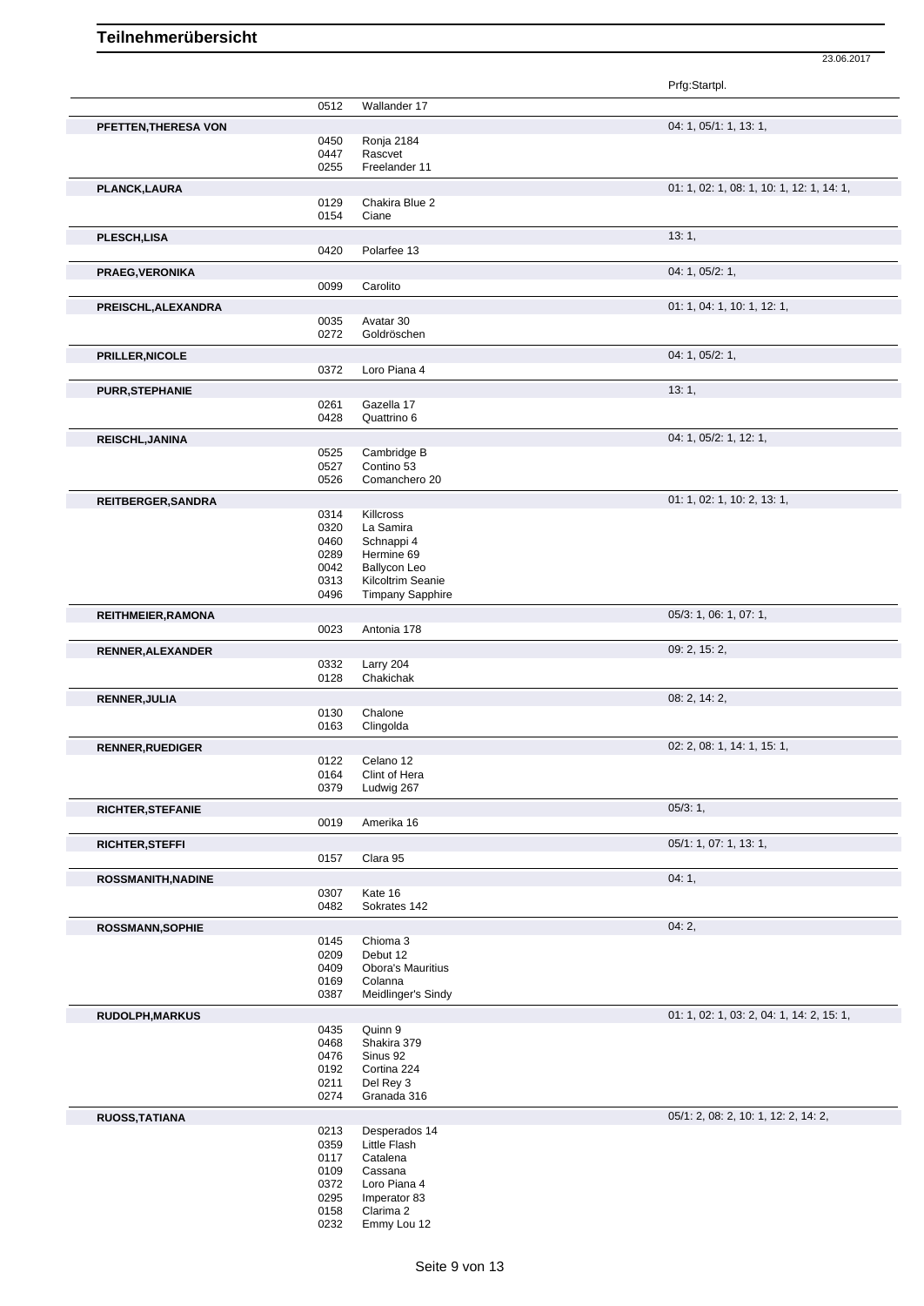Prfg:Startpl. 0512 Wallander 17 **PFETTEN,THERESA VON** 04: 1, 05/1: 1, 13: 1, 0450 Ronja 2184 0447 Rascvet<br>0255 Freeland 0255 Freelander 11 **PLANCK,LAURA** 01: 1, 02: 1, 08: 1, 10: 1, 12: 1, 14: 1, 0129 Chakira Blue 2 0154 Ciane **PLESCH,LISA** 13: 1, 0420 Polarfee 13 **PRAEG,VERONIKA** 04: 1, 05/2: 1, 0099 Carolito **PREISCHL,ALEXANDRA** 01: 1, 04: 1, 10: 1, 12: 1, 0035 Avatar 30<br>0272 Goldrösch Goldröschen **PRILLER,NICOLE** 04: 1, 05/2: 1, 0372 Loro Piana 4 **PURR,STEPHANIE** 13: 1, 0261 Gazella 17 0261 Gazella 17<br>0428 Quattrino 6 Quattrino 6 **REISCHL,JANINA** 04: 1, 05/2: 1, 12: 1, 0525 Cambridge B<br>0527 Contino 53 0527 Contino 53<br>0526 Comancher 0526 Comanchero 20 **REITBERGER, SANDRA** 01: 1, 02: 1, 10: 2, 13: 1, 02: 1, 10: 2, 13: 1, 02: 1, 10: 2, 13: 1, 02: 1, 10: 2, 13: 1, 0 0314 Killcross<br>0320 La Samir 0320 La Samira<br>0460 Schnappi 0460 Schnappi 4<br>0289 Hermine 69 0289 Hermine 69<br>0042 Ballycon Lei 0042 Ballycon Leo<br>0313 Kilcoltrim Sea Kilcoltrim Seanie 0496 Timpany Sapphire **REITHMEIER,RAMONA** 0023 Antonia 178<br>
0023 Antonia 178 Antonia 178 **RENNER,ALEXANDER** 09: 2, 15: 2, 0332 Larry 204<br>0128 Chakichal Chakichak **RENNER,JULIA** 08: 2, 14: 2, 0130 Chalone<br>0163 Clingolda Clingolda **RENNER,RUEDIGER** 02: 2, 08: 1, 14: 1, 15: 1, 0122 Celano 12<br>0164 Clint of He 0164 Clint of Hera<br>0379 Ludwig 267 Ludwig 267 **RICHTER,STEFANIE** 05/3: 1, 05/3: 1, 05/3: 1, 05/3: 1, 05/3: 1, 05/3: 1, 05/3: 1, 05/3: 1, 05/3: 1, 05/3: 1, 05/3: 1, 05/3: 1, 05/3: 1, 05/3: 1, 05/3: 1, 05/3: 1, 05/3: 1, 05/3: 05/3: 05/3: 05/3: 05/3: 05/3: 05/3: 05/3: 05 Amerika 16 **RICHTER,STEFFI** 05/1: 1, 07: 1, 13: 1, 0157 Clara 95 **ROSSMANITH,NADINE** 04: 1, 0307 Kate 16<br>0482 Sokrates Sokrates 142 **ROSSMANN,SOPHIE** 04: 2, 0145 Chioma 3<br>0209 Debut 12 0209 Debut 12<br>0409 Obora's N **Obora's Mauritius** 0169 Colanna<br>0387 Meidling Meidlinger's Sindy **RUDOLPH,MARKUS** 01: 1, 02: 1, 03: 2, 04: 1, 14: 2, 15: 1, 03: 2, 04: 1, 14: 2, 15: 1, 03: 2, 04: 1, 14: 2, 15: 1, Quinn 9 0468 Shakira 379 0476 Sinus 92 0192 Cortina 224<br>0211 Del Rey 3 0211 Del Rey 3<br>0274 Granada 3 Granada 316 **RUOSS,TATIANA** 0213 Desperados 14 0213 Desperados 14 0213 Desperados 14<br>0359 Little Flash 0359 Little Flash<br>0117 Catalena 0117 Catalena<br>0109 Cassana 0109 Cassana<br>0372 Loro Piar 0372 Loro Piana 4<br>0295 Imperator 83

23.06.2017

0295 Imperator 83<br>0158 Clarima 2 0158 Clarima 2<br>0232 Emmy Lou

Emmy Lou 12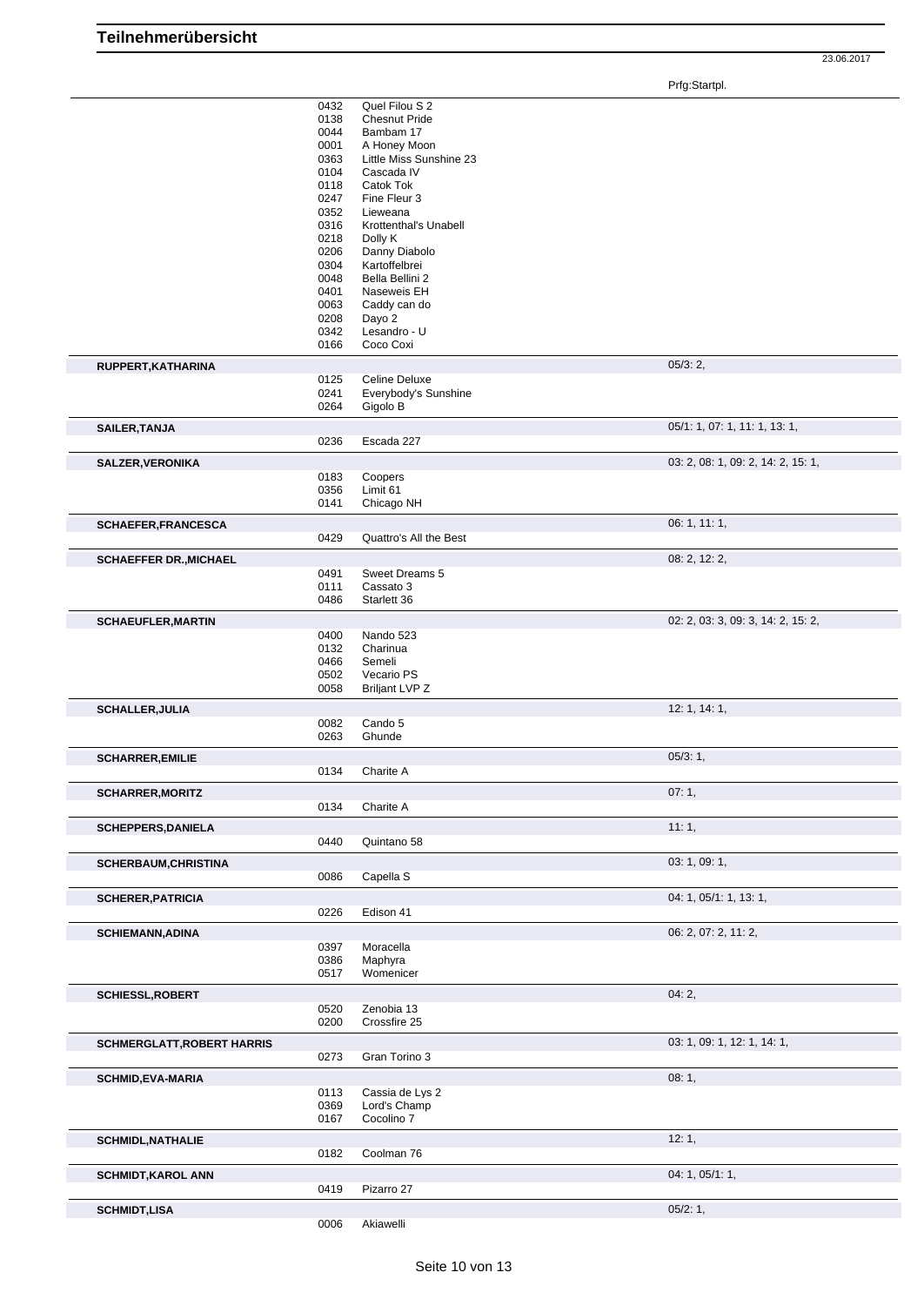Prfg:Startpl.

|                                   | 0432<br>0138<br>0044<br>0001<br>0363<br>0104<br>0118<br>0247<br>0352<br>0316<br>0218<br>0206<br>0304<br>0048<br>0401<br>0063<br>0208<br>0342<br>0166 | Quel Filou S 2<br><b>Chesnut Pride</b><br>Bambam 17<br>A Honey Moon<br>Little Miss Sunshine 23<br>Cascada IV<br>Catok Tok<br>Fine Fleur 3<br>Lieweana<br>Krottenthal's Unabell<br>Dolly K<br>Danny Diabolo<br>Kartoffelbrei<br>Bella Bellini 2<br>Naseweis EH<br>Caddy can do<br>Dayo 2<br>Lesandro - U<br>Coco Coxi |                                    |  |
|-----------------------------------|------------------------------------------------------------------------------------------------------------------------------------------------------|----------------------------------------------------------------------------------------------------------------------------------------------------------------------------------------------------------------------------------------------------------------------------------------------------------------------|------------------------------------|--|
| RUPPERT, KATHARINA                |                                                                                                                                                      |                                                                                                                                                                                                                                                                                                                      | 05/3:2,                            |  |
|                                   | 0125<br>0241<br>0264                                                                                                                                 | Celine Deluxe<br>Everybody's Sunshine<br>Gigolo B                                                                                                                                                                                                                                                                    |                                    |  |
| <b>SAILER, TANJA</b>              | 0236                                                                                                                                                 | Escada 227                                                                                                                                                                                                                                                                                                           | 05/1: 1, 07: 1, 11: 1, 13: 1,      |  |
|                                   |                                                                                                                                                      |                                                                                                                                                                                                                                                                                                                      |                                    |  |
| SALZER, VERONIKA                  | 0183                                                                                                                                                 | Coopers                                                                                                                                                                                                                                                                                                              | 03: 2, 08: 1, 09: 2, 14: 2, 15: 1, |  |
|                                   | 0356                                                                                                                                                 | Limit 61                                                                                                                                                                                                                                                                                                             |                                    |  |
|                                   | 0141                                                                                                                                                 | Chicago NH                                                                                                                                                                                                                                                                                                           |                                    |  |
| <b>SCHAEFER, FRANCESCA</b>        |                                                                                                                                                      |                                                                                                                                                                                                                                                                                                                      | 06: 1, 11: 1,                      |  |
|                                   | 0429                                                                                                                                                 | Quattro's All the Best                                                                                                                                                                                                                                                                                               |                                    |  |
| <b>SCHAEFFER DR., MICHAEL</b>     |                                                                                                                                                      |                                                                                                                                                                                                                                                                                                                      | 08: 2, 12: 2,                      |  |
|                                   | 0491                                                                                                                                                 | Sweet Dreams 5                                                                                                                                                                                                                                                                                                       |                                    |  |
|                                   | 0111                                                                                                                                                 | Cassato 3                                                                                                                                                                                                                                                                                                            |                                    |  |
|                                   | 0486                                                                                                                                                 | Starlett 36                                                                                                                                                                                                                                                                                                          |                                    |  |
| <b>SCHAEUFLER, MARTIN</b>         |                                                                                                                                                      |                                                                                                                                                                                                                                                                                                                      | 02: 2, 03: 3, 09: 3, 14: 2, 15: 2, |  |
|                                   | 0400<br>0132<br>0466<br>0502<br>0058                                                                                                                 | Nando 523<br>Charinua<br>Semeli<br>Vecario PS<br><b>Briljant LVP Z</b>                                                                                                                                                                                                                                               |                                    |  |
| <b>SCHALLER, JULIA</b>            |                                                                                                                                                      |                                                                                                                                                                                                                                                                                                                      | 12: 1, 14: 1,                      |  |
|                                   | 0082<br>0263                                                                                                                                         | Cando 5<br>Ghunde                                                                                                                                                                                                                                                                                                    |                                    |  |
|                                   |                                                                                                                                                      |                                                                                                                                                                                                                                                                                                                      |                                    |  |
|                                   |                                                                                                                                                      |                                                                                                                                                                                                                                                                                                                      |                                    |  |
| <b>SCHARRER, EMILIE</b>           | 0134                                                                                                                                                 | Charite A                                                                                                                                                                                                                                                                                                            | 05/3:1,                            |  |
|                                   |                                                                                                                                                      |                                                                                                                                                                                                                                                                                                                      |                                    |  |
| <b>SCHARRER, MORITZ</b>           | 0134                                                                                                                                                 | Charite A                                                                                                                                                                                                                                                                                                            | 07:1,                              |  |
|                                   |                                                                                                                                                      |                                                                                                                                                                                                                                                                                                                      |                                    |  |
| <b>SCHEPPERS, DANIELA</b>         | 0440                                                                                                                                                 | Quintano 58                                                                                                                                                                                                                                                                                                          | 11:1,                              |  |
|                                   |                                                                                                                                                      |                                                                                                                                                                                                                                                                                                                      | 03: 1, 09: 1,                      |  |
| <b>SCHERBAUM, CHRISTINA</b>       | 0086                                                                                                                                                 | Capella S                                                                                                                                                                                                                                                                                                            |                                    |  |
| <b>SCHERER, PATRICIA</b>          |                                                                                                                                                      |                                                                                                                                                                                                                                                                                                                      | 04: 1, 05/1: 1, 13: 1,             |  |
|                                   | 0226                                                                                                                                                 | Edison 41                                                                                                                                                                                                                                                                                                            |                                    |  |
|                                   |                                                                                                                                                      |                                                                                                                                                                                                                                                                                                                      | 06: 2, 07: 2, 11: 2,               |  |
| <b>SCHIEMANN, ADINA</b>           | 0397                                                                                                                                                 | Moracella                                                                                                                                                                                                                                                                                                            |                                    |  |
|                                   | 0386                                                                                                                                                 | Maphyra                                                                                                                                                                                                                                                                                                              |                                    |  |
|                                   | 0517                                                                                                                                                 | Womenicer                                                                                                                                                                                                                                                                                                            |                                    |  |
| <b>SCHIESSL, ROBERT</b>           |                                                                                                                                                      |                                                                                                                                                                                                                                                                                                                      | 04:2,                              |  |
|                                   | 0520<br>0200                                                                                                                                         | Zenobia 13<br>Crossfire 25                                                                                                                                                                                                                                                                                           |                                    |  |
|                                   |                                                                                                                                                      |                                                                                                                                                                                                                                                                                                                      |                                    |  |
| <b>SCHMERGLATT, ROBERT HARRIS</b> | 0273                                                                                                                                                 | Gran Torino 3                                                                                                                                                                                                                                                                                                        | 03: 1, 09: 1, 12: 1, 14: 1,        |  |
|                                   |                                                                                                                                                      |                                                                                                                                                                                                                                                                                                                      |                                    |  |
| <b>SCHMID, EVA-MARIA</b>          | 0113                                                                                                                                                 | Cassia de Lys 2                                                                                                                                                                                                                                                                                                      | 08:1,                              |  |
|                                   | 0369                                                                                                                                                 | Lord's Champ                                                                                                                                                                                                                                                                                                         |                                    |  |
|                                   | 0167                                                                                                                                                 | Cocolino 7                                                                                                                                                                                                                                                                                                           |                                    |  |
| <b>SCHMIDL, NATHALIE</b>          |                                                                                                                                                      |                                                                                                                                                                                                                                                                                                                      | 12:1,                              |  |
|                                   | 0182                                                                                                                                                 | Coolman 76                                                                                                                                                                                                                                                                                                           |                                    |  |
| <b>SCHMIDT, KAROL ANN</b>         | 0419                                                                                                                                                 | Pizarro 27                                                                                                                                                                                                                                                                                                           | 04: 1, 05/1: 1,                    |  |
| <b>SCHMIDT,LISA</b>               |                                                                                                                                                      |                                                                                                                                                                                                                                                                                                                      | 05/2:1,                            |  |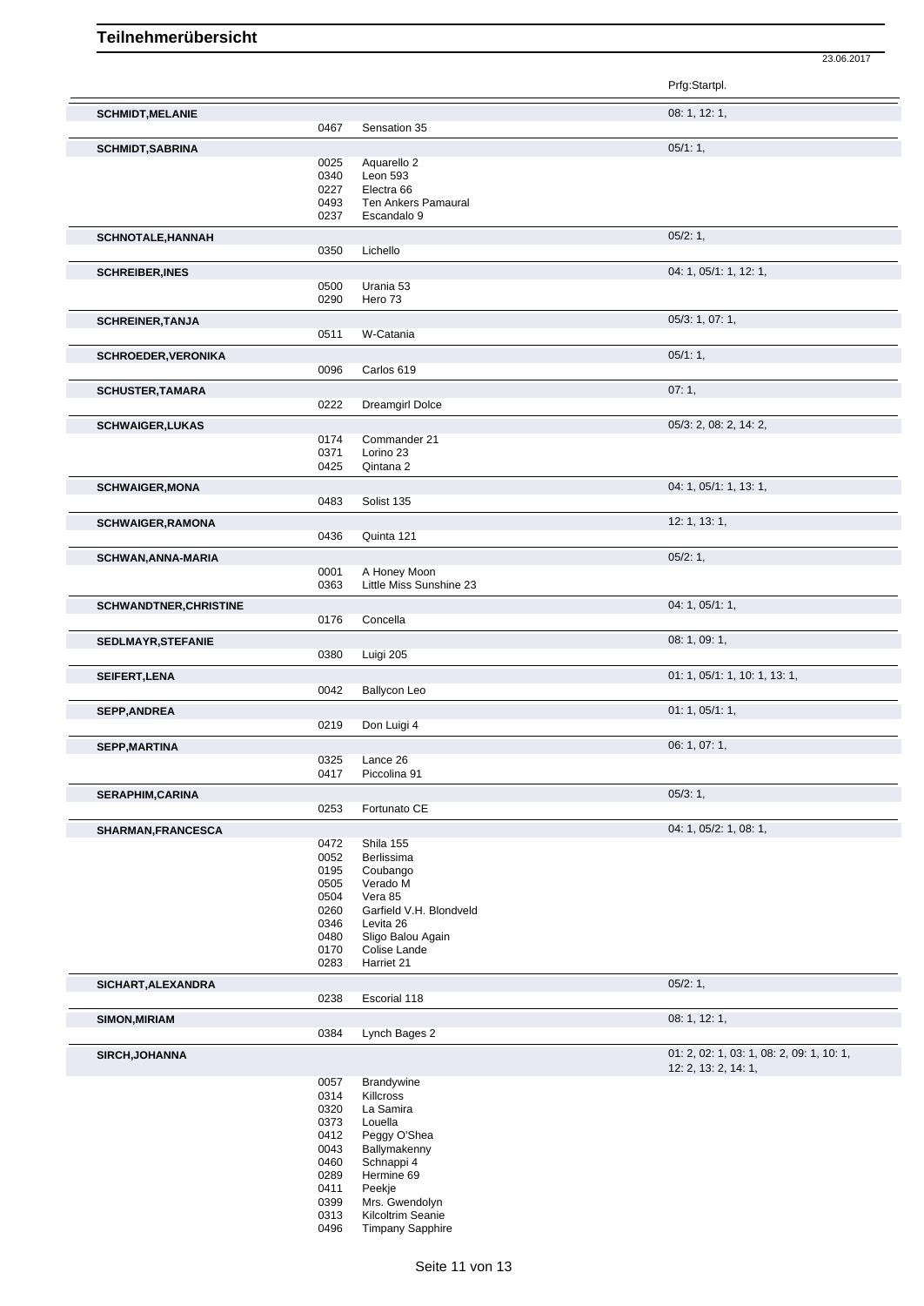|                               |              |                                     | Prfg:Startpl.                             |
|-------------------------------|--------------|-------------------------------------|-------------------------------------------|
| <b>SCHMIDT, MELANIE</b>       | 0467         | Sensation 35                        | 08: 1, 12: 1,                             |
|                               |              |                                     |                                           |
| <b>SCHMIDT, SABRINA</b>       | 0025         | Aquarello 2                         | 05/1:1,                                   |
|                               | 0340         | Leon 593                            |                                           |
|                               | 0227         | Electra <sub>66</sub>               |                                           |
|                               | 0493         | Ten Ankers Pamaural                 |                                           |
|                               | 0237         | Escandalo 9                         |                                           |
| <b>SCHNOTALE, HANNAH</b>      |              |                                     | 05/2:1,                                   |
|                               | 0350         | Lichello                            |                                           |
| <b>SCHREIBER, INES</b>        |              |                                     | 04: 1, 05/1: 1, 12: 1,                    |
|                               | 0500         | Urania 53                           |                                           |
|                               | 0290         | Hero 73                             |                                           |
| <b>SCHREINER, TANJA</b>       |              |                                     | 05/3: 1, 07: 1,                           |
|                               | 0511         | W-Catania                           |                                           |
| <b>SCHROEDER, VERONIKA</b>    |              |                                     | 05/1:1,                                   |
|                               | 0096         | Carlos 619                          |                                           |
| <b>SCHUSTER, TAMARA</b>       |              |                                     | 07:1,                                     |
|                               | 0222         | <b>Dreamgirl Dolce</b>              |                                           |
| <b>SCHWAIGER, LUKAS</b>       |              |                                     | 05/3: 2, 08: 2, 14: 2,                    |
|                               | 0174         | Commander 21                        |                                           |
|                               | 0371<br>0425 | Lorino 23<br>Qintana 2              |                                           |
|                               |              |                                     | 04: 1, 05/1: 1, 13: 1,                    |
| <b>SCHWAIGER, MONA</b>        | 0483         | Solist 135                          |                                           |
| <b>SCHWAIGER, RAMONA</b>      |              |                                     | 12: 1, 13: 1,                             |
|                               | 0436         | Quinta 121                          |                                           |
|                               |              |                                     | 05/2:1,                                   |
| <b>SCHWAN, ANNA-MARIA</b>     | 0001         | A Honey Moon                        |                                           |
|                               | 0363         | Little Miss Sunshine 23             |                                           |
| <b>SCHWANDTNER, CHRISTINE</b> |              |                                     | 04: 1, 05/1: 1,                           |
|                               | 0176         | Concella                            |                                           |
| SEDLMAYR, STEFANIE            |              |                                     | 08: 1, 09: 1,                             |
|                               | 0380         | Luigi 205                           |                                           |
| <b>SEIFERT, LENA</b>          |              |                                     | 01: 1, 05/1: 1, 10: 1, 13: 1,             |
|                               | 0042         | <b>Ballycon Leo</b>                 |                                           |
| <b>SEPP, ANDREA</b>           |              |                                     | 01: 1, 05/1: 1,                           |
|                               | 0219         | Don Luigi 4                         |                                           |
| <b>SEPP, MARTINA</b>          |              |                                     | 06: 1, 07: 1,                             |
|                               | 0325         | Lance 26                            |                                           |
|                               | 0417         | Piccolina 91                        |                                           |
| <b>SERAPHIM, CARINA</b>       |              |                                     | 05/3:1,                                   |
|                               | 0253         | Fortunato CE                        |                                           |
| SHARMAN, FRANCESCA            |              |                                     | 04: 1, 05/2: 1, 08: 1,                    |
|                               | 0472<br>0052 | Shila 155<br>Berlissima             |                                           |
|                               | 0195         | Coubango                            |                                           |
|                               | 0505         | Verado M                            |                                           |
|                               | 0504         | Vera 85                             |                                           |
|                               | 0260         | Garfield V.H. Blondveld             |                                           |
|                               | 0346<br>0480 | Levita 26<br>Sligo Balou Again      |                                           |
|                               | 0170         | Colise Lande                        |                                           |
|                               | 0283         | Harriet 21                          |                                           |
| SICHART, ALEXANDRA            |              |                                     | 05/2:1,                                   |
|                               | 0238         | Escorial 118                        |                                           |
| SIMON, MIRIAM                 |              |                                     | 08: 1, 12: 1,                             |
|                               | 0384         | Lynch Bages 2                       |                                           |
| SIRCH, JOHANNA                |              |                                     | 01: 2, 02: 1, 03: 1, 08: 2, 09: 1, 10: 1, |
|                               |              |                                     | 12: 2, 13: 2, 14: 1,                      |
|                               | 0057         | Brandywine                          |                                           |
|                               | 0314<br>0320 | Killcross<br>La Samira              |                                           |
|                               | 0373         | Louella                             |                                           |
|                               | 0412         | Peggy O'Shea                        |                                           |
|                               | 0043         | Ballymakenny                        |                                           |
|                               | 0460         | Schnappi 4                          |                                           |
|                               | 0289         | Hermine 69                          |                                           |
|                               |              |                                     |                                           |
|                               | 0411         | Peekje                              |                                           |
|                               | 0399<br>0313 | Mrs. Gwendolyn<br>Kilcoltrim Seanie |                                           |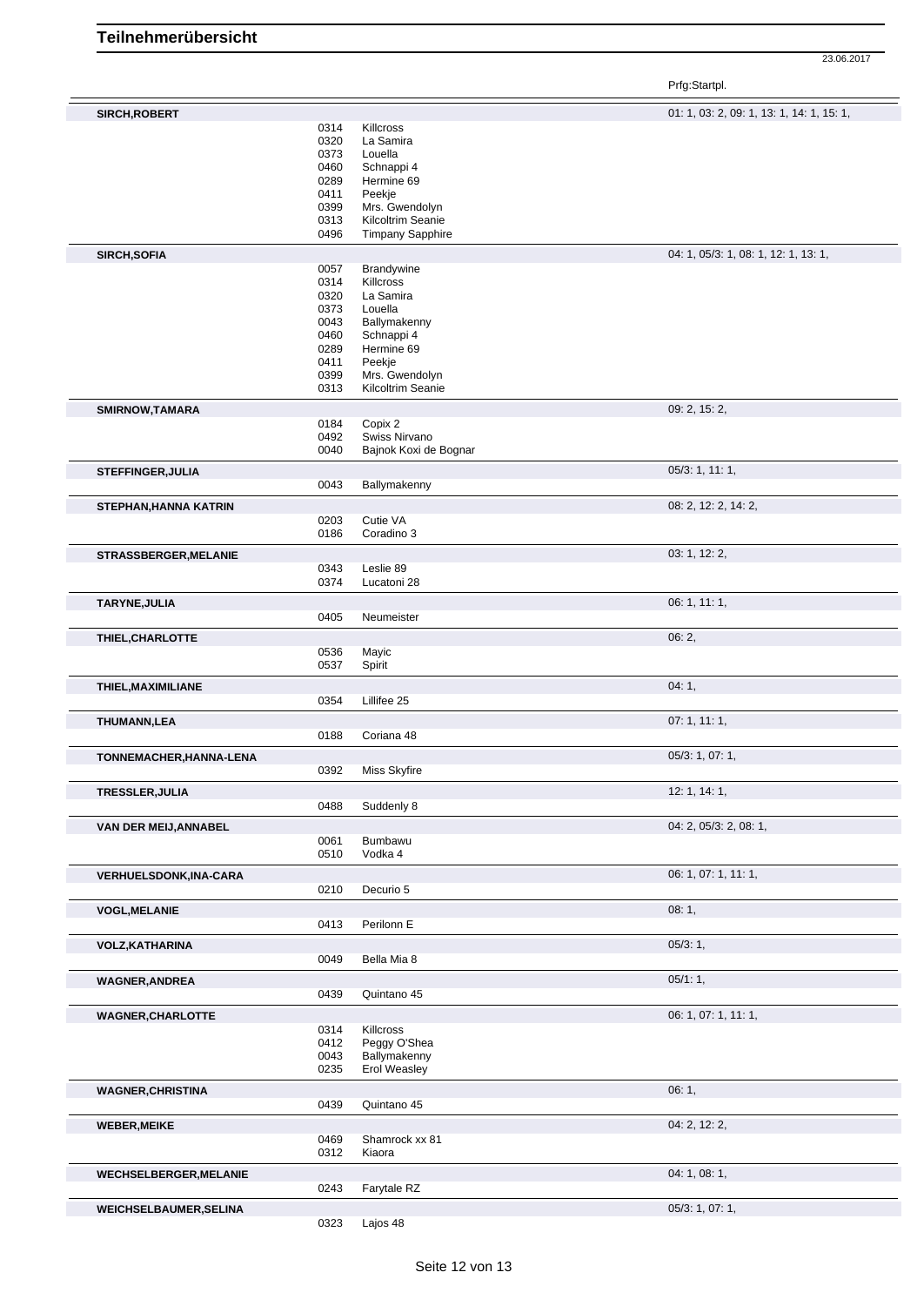23.06.2017

Prfg:Startpl.

| SIRCH, ROBERT                 |      |                         | 01: 1, 03: 2, 09: 1, 13: 1, 14: 1, 15: 1, |
|-------------------------------|------|-------------------------|-------------------------------------------|
|                               | 0314 | Killcross               |                                           |
|                               | 0320 | La Samira               |                                           |
|                               | 0373 | Louella                 |                                           |
|                               | 0460 | Schnappi 4              |                                           |
|                               | 0289 | Hermine 69              |                                           |
|                               | 0411 | Peekje                  |                                           |
|                               | 0399 | Mrs. Gwendolyn          |                                           |
|                               |      |                         |                                           |
|                               | 0313 | Kilcoltrim Seanie       |                                           |
|                               | 0496 | <b>Timpany Sapphire</b> |                                           |
| <b>SIRCH, SOFIA</b>           |      |                         | 04: 1, 05/3: 1, 08: 1, 12: 1, 13: 1,      |
|                               | 0057 | Brandywine              |                                           |
|                               | 0314 | Killcross               |                                           |
|                               |      |                         |                                           |
|                               | 0320 | La Samira               |                                           |
|                               | 0373 | Louella                 |                                           |
|                               | 0043 | Ballymakenny            |                                           |
|                               | 0460 | Schnappi 4              |                                           |
|                               | 0289 | Hermine 69              |                                           |
|                               | 0411 | Peekje                  |                                           |
|                               | 0399 | Mrs. Gwendolyn          |                                           |
|                               | 0313 | Kilcoltrim Seanie       |                                           |
|                               |      |                         |                                           |
| SMIRNOW, TAMARA               |      |                         | 09: 2, 15: 2,                             |
|                               | 0184 | Copix 2                 |                                           |
|                               | 0492 | Swiss Nirvano           |                                           |
|                               | 0040 | Bajnok Koxi de Bognar   |                                           |
|                               |      |                         |                                           |
| <b>STEFFINGER, JULIA</b>      |      |                         | 05/3: 1, 11: 1,                           |
|                               | 0043 | Ballymakenny            |                                           |
| STEPHAN, HANNA KATRIN         |      |                         | 08: 2, 12: 2, 14: 2,                      |
|                               | 0203 | Cutie VA                |                                           |
|                               | 0186 | Coradino 3              |                                           |
|                               |      |                         |                                           |
| STRASSBERGER, MELANIE         |      |                         | 03: 1, 12: 2,                             |
|                               | 0343 | Leslie 89               |                                           |
|                               | 0374 | Lucatoni 28             |                                           |
|                               |      |                         |                                           |
| TARYNE, JULIA                 |      |                         | 06: 1, 11: 1,                             |
|                               | 0405 | Neumeister              |                                           |
|                               |      |                         |                                           |
| THIEL, CHARLOTTE              |      |                         | 06:2,                                     |
|                               | 0536 | Mayic                   |                                           |
|                               | 0537 | Spirit                  |                                           |
|                               |      |                         |                                           |
| THIEL, MAXIMILIANE            |      |                         | 04:1,                                     |
|                               | 0354 | Lillifee 25             |                                           |
| THUMANN, LEA                  |      |                         | 07:1, 11:1,                               |
|                               | 0188 | Coriana 48              |                                           |
|                               |      |                         |                                           |
| TONNEMACHER, HANNA-LENA       |      |                         | 05/3: 1, 07: 1,                           |
|                               | 0392 | Miss Skyfire            |                                           |
|                               |      |                         |                                           |
| TRESSLER, JULIA               |      |                         | 12: 1, 14: 1,                             |
|                               | 0488 | Suddenly 8              |                                           |
|                               |      |                         |                                           |
| VAN DER MEIJ, ANNABEL         |      |                         | 04: 2, 05/3: 2, 08: 1,                    |
|                               |      | Bumbawu                 |                                           |
|                               | 0061 |                         |                                           |
|                               | 0510 | Vodka 4                 |                                           |
|                               |      |                         |                                           |
| VERHUELSDONK, INA-CARA        |      |                         | 06: 1, 07: 1, 11: 1,                      |
|                               | 0210 | Decurio 5               |                                           |
|                               |      |                         |                                           |
| <b>VOGL, MELANIE</b>          |      |                         | 08:1,                                     |
|                               | 0413 | Perilonn E              |                                           |
| <b>VOLZ, KATHARINA</b>        |      |                         | 05/3:1,                                   |
|                               | 0049 | Bella Mia 8             |                                           |
|                               |      |                         |                                           |
| <b>WAGNER, ANDREA</b>         |      |                         | 05/1:1,                                   |
|                               | 0439 | Quintano 45             |                                           |
|                               |      |                         |                                           |
| <b>WAGNER, CHARLOTTE</b>      |      |                         | 06: 1, 07: 1, 11: 1,                      |
|                               | 0314 | Killcross               |                                           |
|                               | 0412 | Peggy O'Shea            |                                           |
|                               | 0043 | Ballymakenny            |                                           |
|                               | 0235 | <b>Erol Weasley</b>     |                                           |
|                               |      |                         |                                           |
| <b>WAGNER, CHRISTINA</b>      |      |                         | 06: 1,                                    |
|                               | 0439 | Quintano 45             |                                           |
|                               |      |                         |                                           |
| <b>WEBER, MEIKE</b>           |      |                         | 04: 2, 12: 2,                             |
|                               | 0469 | Shamrock xx 81          |                                           |
|                               | 0312 | Kiaora                  |                                           |
|                               |      |                         | 04: 1, 08: 1,                             |
| <b>WECHSELBERGER, MELANIE</b> |      |                         |                                           |
|                               | 0243 | Farytale RZ             |                                           |
| <b>WEICHSELBAUMER, SELINA</b> | 0323 | Lajos 48                | 05/3: 1, 07: 1,                           |